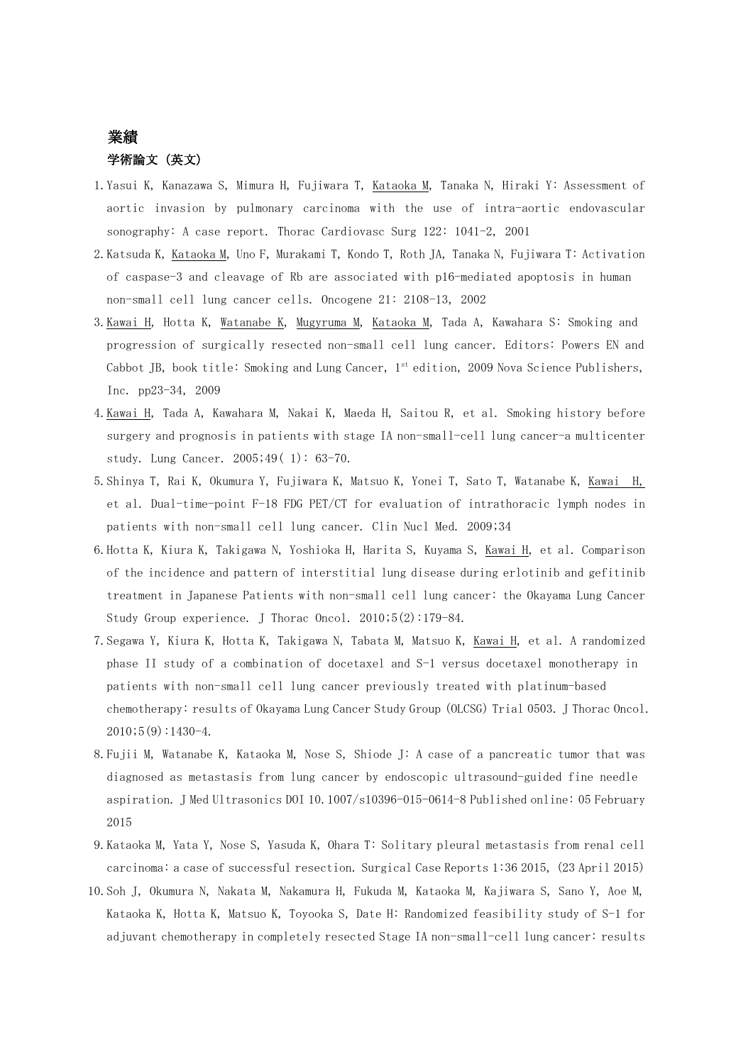# 業績 学術論文(英文)

- 1.Yasui K, Kanazawa S, Mimura H, Fujiwara T, Kataoka M, Tanaka N, Hiraki Y: Assessment of aortic invasion by pulmonary carcinoma with the use of intra-aortic endovascular sonography: A case report. Thorac Cardiovasc Surg 122: 1041-2, 2001
- 2.Katsuda K, Kataoka M, Uno F, Murakami T, Kondo T, Roth JA, Tanaka N, Fujiwara T: Activation of caspase-3 and cleavage of Rb are associated with p16-mediated apoptosis in human non-small cell lung cancer cells. Oncogene 21: 2108-13, 2002
- 3.Kawai H, Hotta K, Watanabe K, Mugyruma M, Kataoka M, Tada A, Kawahara S: Smoking and progression of surgically resected non-small cell lung cancer. Editors: Powers EN and Cabbot JB, book title: Smoking and Lung Cancer, 1st edition, 2009 Nova Science Publishers, Inc. pp23-34, 2009
- 4.Kawai H, Tada A, Kawahara M, Nakai K, Maeda H, Saitou R, et al. Smoking history before surgery and prognosis in patients with stage IA non-small-cell lung cancer-a multicenter study. Lung Cancer. 2005;49( 1): 63-70.
- 5.Shinya T, Rai K, Okumura Y, Fujiwara K, Matsuo K, Yonei T, Sato T, Watanabe K, Kawai H, et al. Dual-time-point F-18 FDG PET/CT for evaluation of intrathoracic lymph nodes in patients with non-small cell lung cancer. Clin Nucl Med. 2009;34
- 6.Hotta K, Kiura K, Takigawa N, Yoshioka H, Harita S, Kuyama S, Kawai H, et al. Comparison of the incidence and pattern of interstitial lung disease during erlotinib and gefitinib treatment in Japanese Patients with non-small cell lung cancer: the Okayama Lung Cancer Study Group experience. J Thorac Oncol. 2010;5(2):179-84.
- 7.Segawa Y, Kiura K, Hotta K, Takigawa N, Tabata M, Matsuo K, Kawai H, et al. A randomized phase II study of a combination of docetaxel and S-1 versus docetaxel monotherapy in patients with non-small cell lung cancer previously treated with platinum-based chemotherapy: results of Okayama Lung Cancer Study Group (OLCSG) Trial 0503. J Thorac Oncol.  $2010;5(9):1430-4.$
- 8.Fujii M, Watanabe K, Kataoka M, Nose S, Shiode J: A case of a pancreatic tumor that was diagnosed as metastasis from lung cancer by endoscopic ultrasound-guided fine needle aspiration. J Med Ultrasonics DOI 10.1007/s10396-015-0614-8 Published online: 05 February 2015
- 9.Kataoka M, Yata Y, Nose S, Yasuda K, Ohara T: [Solitary pleural metastasis from renal cell](http://www.surgicalcasereports.com/content/1/1/36)  [carcinoma: a case of successful resection.](http://www.surgicalcasereports.com/content/1/1/36) Surgical Case Reports 1:36 2015, (23 April 2015)
- 10.Soh J, Okumura N, Nakata M, Nakamura H, Fukuda M, Kataoka M, Kajiwara S, Sano Y, Aoe M, Kataoka K, Hotta K, Matsuo K, Toyooka S, Date H: [Randomized feasibility study of S-1 for](https://www.ncbi.nlm.nih.gov/pubmed/27207886)  [adjuvant chemotherapy in completely resected Stage IA non-small-cell](https://www.ncbi.nlm.nih.gov/pubmed/27207886) lung cancer: results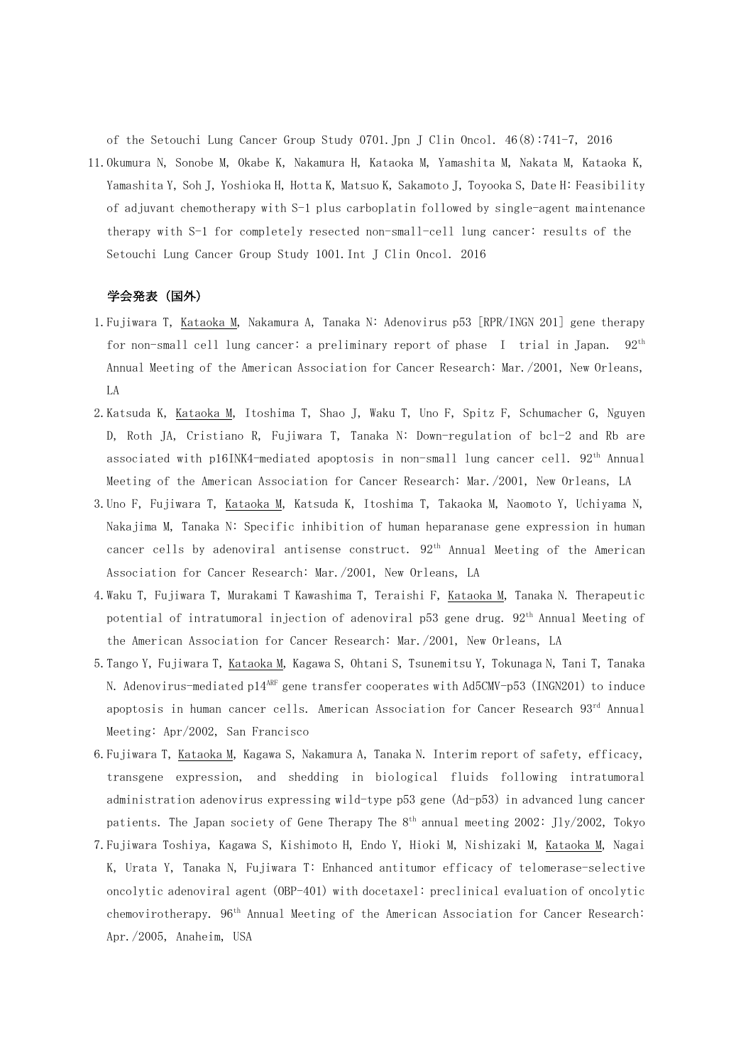[of the Setouchi Lung Cancer Group Study 0701.J](https://www.ncbi.nlm.nih.gov/pubmed/27207886)pn J Clin Oncol. 46(8):741-7, 2016

11.Okumura N, Sonobe M, Okabe K, Nakamura H, Kataoka M, Yamashita M, Nakata M, Kataoka K, Yamashita Y, Soh J, Yoshioka H, Hotta K, Matsuo K, Sakamoto J, Toyooka S, Date H: [Feasibility](https://www.ncbi.nlm.nih.gov/pubmed/27921177)  [of adjuvant chemotherapy with S-1 plus carboplatin followed by single-agent maintenance](https://www.ncbi.nlm.nih.gov/pubmed/27921177)  [therapy with S-1 for completely resected non-small-cell lung cancer: results of the](https://www.ncbi.nlm.nih.gov/pubmed/27921177)  [Setouchi Lung Cancer Group Study 1001.I](https://www.ncbi.nlm.nih.gov/pubmed/27921177)nt J Clin Oncol. 2016

## 学会発表(国外)

- 1.Fujiwara T, Kataoka M, Nakamura A, Tanaka N: Adenovirus p53 [RPR/INGN 201] gene therapy for non-small cell lung cancer: a preliminary report of phase I trial in Japan. 92th Annual Meeting of the American Association for Cancer Research: Mar./2001, New Orleans, LA
- 2.Katsuda K, Kataoka M, Itoshima T, Shao J, Waku T, Uno F, Spitz F, Schumacher G, Nguyen D, Roth JA, Cristiano R, Fujiwara T, Tanaka N: Down-regulation of bcl-2 and Rb are associated with p16INK4-mediated apoptosis in non-small lung cancer cell. 92<sup>th</sup> Annual Meeting of the American Association for Cancer Research: Mar./2001, New Orleans, LA
- 3.Uno F, Fujiwara T, Kataoka M, Katsuda K, Itoshima T, Takaoka M, Naomoto Y, Uchiyama N, Nakajima M, Tanaka N: Specific inhibition of human heparanase gene expression in human cancer cells by adenoviral antisense construct.  $92<sup>th</sup>$  Annual Meeting of the American Association for Cancer Research: Mar./2001, New Orleans, LA
- 4.Waku T, Fujiwara T, Murakami T Kawashima T, Teraishi F, Kataoka M, Tanaka N. Therapeutic potential of intratumoral injection of adenoviral p53 gene drug. 92<sup>th</sup> Annual Meeting of the American Association for Cancer Research: Mar./2001, New Orleans, LA
- 5.Tango Y, Fujiwara T, Kataoka M, Kagawa S, Ohtani S, Tsunemitsu Y, Tokunaga N, Tani T, Tanaka N. Adenovirus-mediated p14<sup>ARF</sup> gene transfer cooperates with Ad5CMV-p53 (INGN201) to induce apoptosis in human cancer cells. American Association for Cancer Research 93rd Annual Meeting: Apr/2002, San Francisco
- 6.Fujiwara T, Kataoka M, Kagawa S, Nakamura A, Tanaka N. Interim report of safety, efficacy, transgene expression, and shedding in biological fluids following intratumoral administration adenovirus expressing wild-type p53 gene (Ad-p53) in advanced lung cancer patients. The Japan society of Gene Therapy The  $8^{th}$  annual meeting 2002: Jly/2002, Tokyo
- 7.Fujiwara Toshiya, Kagawa S, Kishimoto H, Endo Y, Hioki M, Nishizaki M, Kataoka M, Nagai K, Urata Y, Tanaka N, Fujiwara T: Enhanced antitumor efficacy of telomerase-selective oncolytic adenoviral agent (OBP-401) with docetaxel: preclinical evaluation of oncolytic chemovirotherapy. 96th Annual Meeting of the American Association for Cancer Research: Apr./2005, Anaheim, USA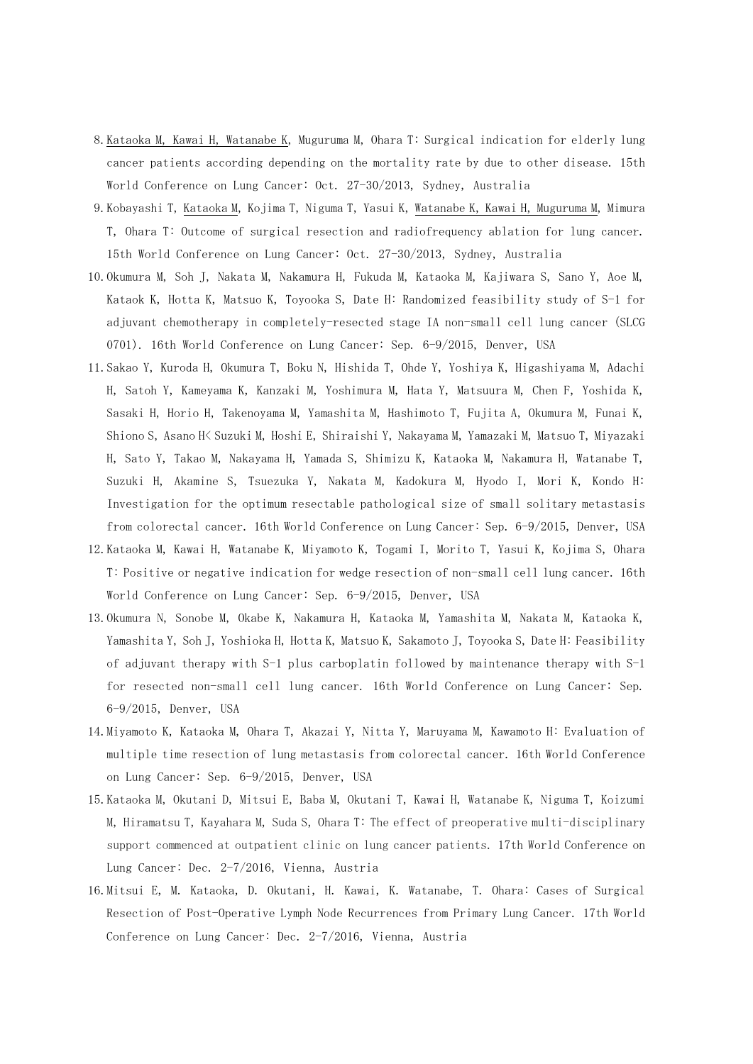- 8.Kataoka M, Kawai H, Watanabe K, Muguruma M, Ohara T: Surgical indication for elderly lung cancer patients according depending on the mortality rate by due to other disease. 15th World Conference on Lung Cancer: Oct. 27-30/2013, Sydney, Australia
- 9.Kobayashi T, Kataoka M, Kojima T, Niguma T, Yasui K, Watanabe K, Kawai H, Muguruma M, Mimura T, Ohara T: Outcome of surgical resection and radiofrequency ablation for lung cancer. 15th World Conference on Lung Cancer: Oct. 27-30/2013, Sydney, Australia
- 10.Okumura M, Soh J, Nakata M, Nakamura H, Fukuda M, Kataoka M, Kajiwara S, Sano Y, Aoe M, Kataok K, Hotta K, Matsuo K, Toyooka S, Date H: Randomized feasibility study of S-1 for adjuvant chemotherapy in completely-resected stage IA non-small cell lung cancer (SLCG 0701). 16th World Conference on Lung Cancer: Sep. 6-9/2015, Denver, USA
- 11.Sakao Y, Kuroda H, Okumura T, Boku N, Hishida T, Ohde Y, Yoshiya K, Higashiyama M, Adachi H, Satoh Y, Kameyama K, Kanzaki M, Yoshimura M, Hata Y, Matsuura M, Chen F, Yoshida K, Sasaki H, Horio H, Takenoyama M, Yamashita M, Hashimoto T, Fujita A, Okumura M, Funai K, Shiono S, Asano H< Suzuki M, Hoshi E, Shiraishi Y, Nakayama M, Yamazaki M, Matsuo T, Miyazaki H, Sato Y, Takao M, Nakayama H, Yamada S, Shimizu K, Kataoka M, Nakamura H, Watanabe T, Suzuki H, Akamine S, Tsuezuka Y, Nakata M, Kadokura M, Hyodo I, Mori K, Kondo H: Investigation for the optimum resectable pathological size of small solitary metastasis from colorectal cancer. 16th World Conference on Lung Cancer: Sep. 6-9/2015, Denver, USA
- 12.Kataoka M, Kawai H, Watanabe K, Miyamoto K, Togami I, Morito T, Yasui K, Kojima S, Ohara T: Positive or negative indication for wedge resection of non-small cell lung cancer. 16th World Conference on Lung Cancer: Sep. 6-9/2015, Denver, USA
- 13.Okumura N, Sonobe M, Okabe K, Nakamura H, Kataoka M, Yamashita M, Nakata M, Kataoka K, Yamashita Y, Soh J, Yoshioka H, Hotta K, Matsuo K, Sakamoto J, Toyooka S, Date H: Feasibility of adjuvant therapy with S-1 plus carboplatin followed by maintenance therapy with S-1 for resected non-small cell lung cancer. 16th World Conference on Lung Cancer: Sep. 6-9/2015, Denver, USA
- 14.Miyamoto K, Kataoka M, Ohara T, Akazai Y, Nitta Y, Maruyama M, Kawamoto H: Evaluation of multiple time resection of lung metastasis from colorectal cancer. 16th World Conference on Lung Cancer: Sep. 6-9/2015, Denver, USA
- 15.Kataoka M, Okutani D, Mitsui E, Baba M, Okutani T, Kawai H, Watanabe K, Niguma T, Koizumi M, Hiramatsu T, Kayahara M, Suda S, Ohara T: The effect of preoperative multi-disciplinary support commenced at outpatient clinic on lung cancer patients. 17th World Conference on Lung Cancer: Dec. 2-7/2016, Vienna, Austria
- 16.Mitsui E, [M. Kataoka,](http://library.iaslc.org/search-speaker?search_speaker=46332) [D. Okutani,](http://library.iaslc.org/search-speaker?search_speaker=46451) [H. Kawai,](http://library.iaslc.org/search-speaker?search_speaker=46452) [K. Watanabe,](http://library.iaslc.org/search-speaker?search_speaker=46453) [T. Ohara:](http://library.iaslc.org/search-speaker?search_speaker=46454) Cases of Surgical Resection of Post-Operative Lymph Node Recurrences from Primary Lung Cancer. 17th World Conference on Lung Cancer: Dec. 2-7/2016, Vienna, Austria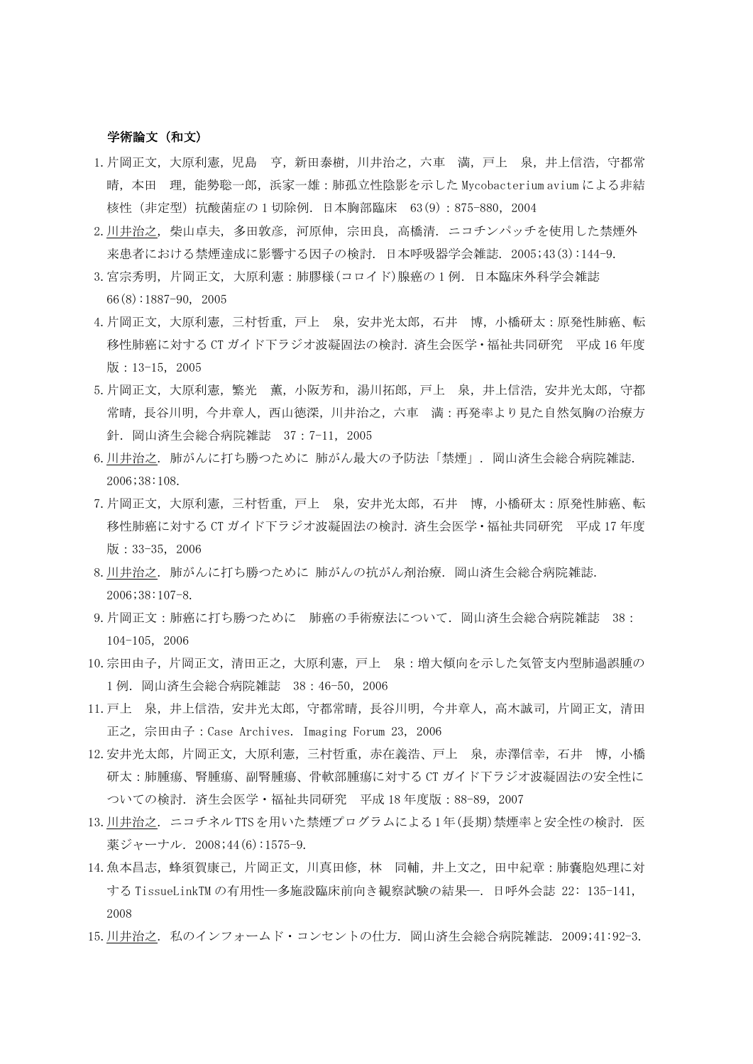# 学術論文(和文)

- 1.片岡正文,大原利憲,児島 亨,新田泰樹,川井治之,六車 満,戸上 泉,井上信浩,守都常 晴,本田 理,能勢聡一郎,浜家一雄:肺孤立性陰影を示した Mycobacterium avium による非結 核性(非定型)抗酸菌症の 1 切除例.日本胸部臨床 63(9):875-880,2004
- 2.川井治之, 柴山卓夫, 多田敦彦, 河原伸, 宗田良, 高橋清. ニコチンパッチを使用した禁煙外 来患者における禁煙達成に影響する因子の検討. 日本呼吸器学会雑誌. 2005;43(3):144-9.
- 3.宮宗秀明, 片岡正文, 大原利憲:肺膠様(コロイド)腺癌の 1 例.日本臨床外科学会雑誌 66(8):1887-90, 2005
- 4.片岡正文,大原利憲,三村哲重,戸上 泉,安井光太郎,石井 博,小橋研太:原発性肺癌、転 移性肺癌に対する CT ガイド下ラジオ波凝固法の検討. 済生会医学・福祉共同研究 平成 16 年度 版:13-15,2005
- 5.片岡正文,大原利憲,繁光 薫,小阪芳和,湯川拓郎,戸上 泉,井上信浩,安井光太郎,守都 常晴,長谷川明,今井章人,西山徳深,川井治之,六車 満:再発率より見た自然気胸の治療方 針.岡山済生会総合病院雑誌 37:7-11,2005
- 6.川井治之. 肺がんに打ち勝つために 肺がん最大の予防法「禁煙」. 岡山済生会総合病院雑誌. 2006;38:108.
- 7.片岡正文,大原利憲,三村哲重,戸上 泉,安井光太郎,石井 博,小橋研太:原発性肺癌、転 移性肺癌に対する CT ガイド下ラジオ波凝固法の検討.済生会医学・福祉共同研究 平成 17 年度 版: 33-35, 2006
- 8.川井治之. 肺がんに打ち勝つために 肺がんの抗がん剤治療. 岡山済生会総合病院雑誌. 2006;38:107-8.
- 9.片岡正文:肺癌に打ち勝つために 肺癌の手術療法について.岡山済生会総合病院雑誌 38: 104-105,2006
- 10.宗田由子,片岡正文,清田正之,大原利憲,戸上 泉:増大傾向を示した気管支内型肺過誤腫の 1 例.岡山済生会総合病院雑誌 38:46-50,2006
- 11.戸上 泉,井上信浩,安井光太郎,守都常晴,長谷川明,今井章人,高木誠司,片岡正文,清田 正之,宗田由子:Case Archives. Imaging Forum 23, 2006
- 12.安井光太郎,片岡正文,大原利憲,三村哲重,赤在義浩、戸上 泉,赤澤信幸,石井 博,小橋 研太:肺腫瘍、腎腫瘍、副腎腫瘍、骨軟部腫瘍に対する CT ガイド下ラジオ波凝固法の安全性に ついての検討.済生会医学・福祉共同研究 平成 18 年度版:88-89,2007
- 13.川井治之. ニコチネルTTSを用いた禁煙プログラムによる1年(長期)禁煙率と安全性の検討. 医 薬ジャーナル. 2008;44(6):1575-9.
- 14.魚本昌志,蜂須賀康己,片岡正文,川真田修,林 同輔,井上文之,田中紀章:肺嚢胞処理に対 する TissueLinkTM の有用性―多施設臨床前向き観察試験の結果―.日呼外会誌 22: 135-141, 2008
- 15.川井治之. 私のインフォームド・コンセントの仕方. 岡山済生会総合病院雑誌. 2009;41:92-3.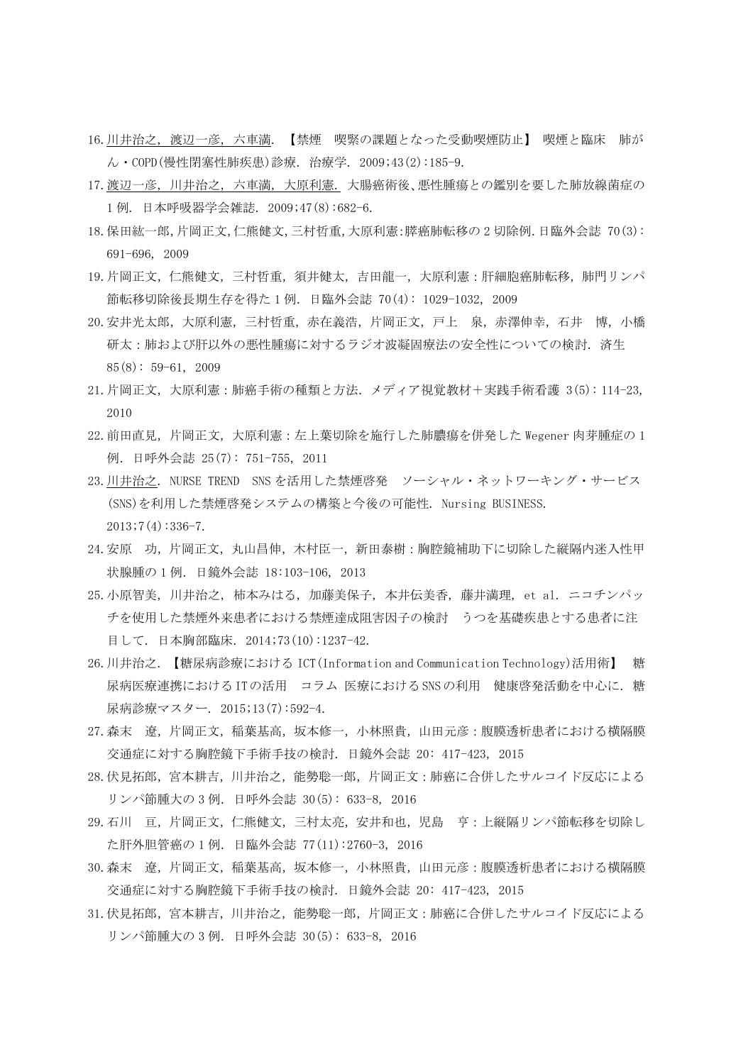- 16.川井治之, 渡辺一彦, 六車満. 【禁煙 喫緊の課題となった受動喫煙防止】 喫煙と臨床 肺が ん・COPD(慢性閉塞性肺疾患)診療. 治療学. 2009;43(2):185-9.
- 17.渡辺一彦, 川井治之, 六車満, 大原利憲. 大腸癌術後、悪性腫瘍との鑑別を要した肺放線菌症の 1 例. 日本呼吸器学会雑誌. 2009;47(8):682-6.
- 18.保田紘一郎,片岡正文,仁熊健文,三村哲重,大原利憲:膵癌肺転移の 2 切除例.日臨外会誌 70(3): 691-696, 2009
- 19.片岡正文,仁熊健文,三村哲重,須井健太,吉田龍一,大原利憲:肝細胞癌肺転移,肺門リンパ 節転移切除後長期生存を得た 1 例.日臨外会誌 70(4): 1029-1032, 2009
- 20.安井光太郎,大原利憲,三村哲重,赤在義浩,片岡正文,戸上 泉,赤澤伸幸,石井 博,小橋 研太:肺および肝以外の悪性腫瘍に対するラジオ波凝固療法の安全性についての検討.済生  $85(8): 59-61, 2009$
- 21.片岡正文,大原利憲:肺癌手術の種類と方法.メディア視覚教材+実践手術看護 3(5): 114-23, 2010
- 22.前田直見,片岡正文,大原利憲:左上葉切除を施行した肺膿瘍を併発した Wegener 肉芽腫症の 1 例.日呼外会誌 25(7): 751-755, 2011
- 23.川井治之. NURSE TREND SNS を活用した禁煙啓発 ソーシャル・ネットワーキング・サービス (SNS)を利用した禁煙啓発システムの構築と今後の可能性. Nursing BUSINESS.  $2013;7(4):336-7.$
- 24. 安原 功, 片岡正文, 丸山昌伸, 木村臣一, 新田泰樹: 胸腔鏡補助下に切除した縦隔内迷入性甲 状腺腫の 1 例.日鏡外会誌 18:103-106, 2013
- 25.小原智美, 川井治之, 柿本みはる, 加藤美保子, 本井伝美香, 藤井満理, et al. ニコチンパッ チを使用した禁煙外来患者における禁煙達成阻害因子の検討 うつを基礎疾患とする患者に注 目して. 日本胸部臨床. 2014;73(10):1237-42.
- 26.川井治之. 【糖尿病診療における ICT(Information and Communication Technology)活用術】 糖 尿病医療連携におけるITの活用 コラム 医療におけるSNSの利用 健康啓発活動を中心に. 糖 尿病診療マスター. 2015;13(7):592-4.
- 27.森末 遼,片岡正文,稲葉基高,坂本修一,小林照貴,山田元彦:腹膜透析患者における横隔膜 交通症に対する胸腔鏡下手術手技の検討.日鏡外会誌 20: 417-423, 2015
- 28.伏見拓郎,宮本耕吉,川井治之,能勢聡一郎,片岡正文:肺癌に合併したサルコイド反応による リンパ節腫大の 3 例.日呼外会誌 30(5): 633-8, 2016
- 29.石川 亘,片岡正文,仁熊健文,三村太亮,安井和也,児島 亨:上縦隔リンパ節転移を切除し た肝外胆管癌の 1 例.日臨外会誌 77(11):2760-3, 2016
- 30.森末 遼,片岡正文,稲葉基高,坂本修一,小林照貴,山田元彦:腹膜透析患者における横隔膜 交通症に対する胸腔鏡下手術手技の検討.日鏡外会誌 20: 417-423, 2015
- 31.伏見拓郎,宮本耕吉,川井治之,能勢聡一郎,片岡正文:肺癌に合併したサルコイド反応による リンパ節腫大の 3 例.日呼外会誌 30(5): 633-8, 2016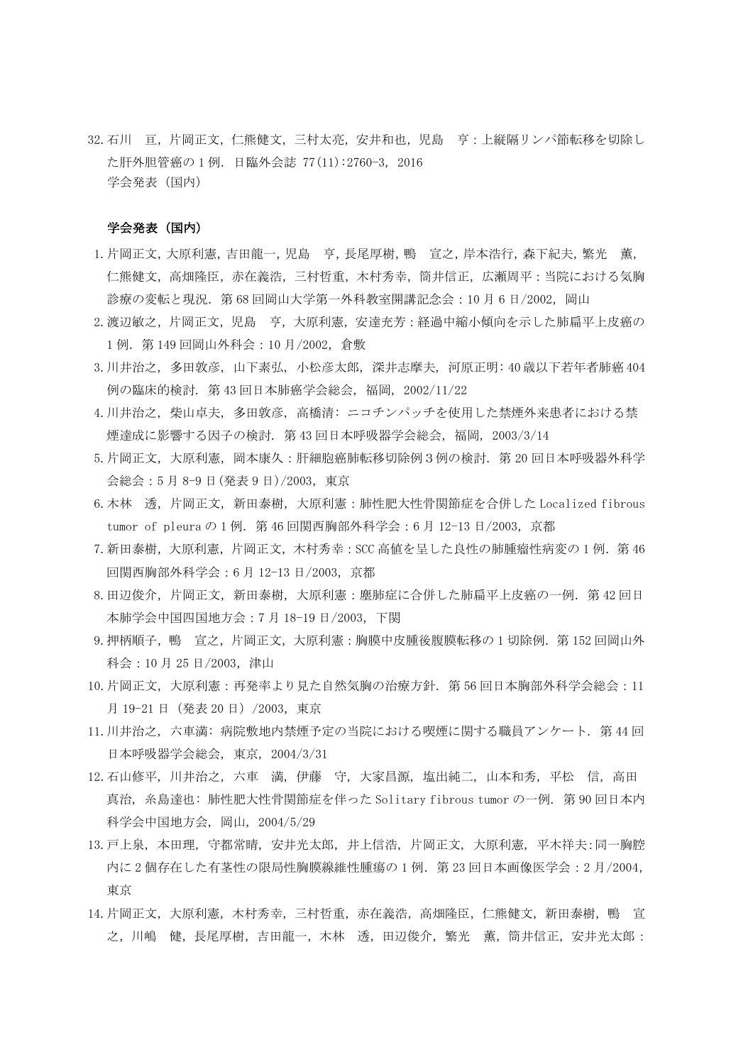32.石川 亘,片岡正文,仁熊健文,三村太亮,安井和也,児島 亨:上縦隔リンパ節転移を切除し た肝外胆管癌の 1 例.日臨外会誌 77(11):2760-3, 2016 学会発表(国内)

#### 学会発表(国内)

- 1.片岡正文,大原利憲,吉田龍一,児島 亨,長尾厚樹,鴨 宣之,岸本浩行,森下紀夫,繁光 薫, 仁熊健文,高畑隆臣,赤在義浩,三村哲重,木村秀幸,筒井信正,広瀬周平:当院における気胸 診療の変転と現況.第 68 回岡山大学第一外科教室開講記念会:10 月 6 日/2002,岡山
- 2.渡辺敏之,片岡正文,児島 亨,大原利憲,安達充芳:経過中縮小傾向を示した肺扁平上皮癌の 1 例.第 149 回岡山外科会:10 月/2002,倉敷
- 3.川井治之, 多田敦彦, 山下素弘, 小松彦太郎, 深井志摩夫, 河原正明: 40 歳以下若年者肺癌 404 例の臨床的検討. 第 43 回日本肺癌学会総会, 福岡, 2002/11/22
- 4.川井治之, 柴山卓夫, 多田敦彦, 高橋清: ニコチンパッチを使用した禁煙外来患者における禁 煙達成に影響する因子の検討. 第 43 回日本呼吸器学会総会, 福岡, 2003/3/14
- 5.片岡正文,大原利憲,岡本康久:肝細胞癌肺転移切除例3例の検討.第 20 回日本呼吸器外科学 会総会:5 月 8-9 日(発表 9 日)/2003,東京
- 6.木林 透,片岡正文,新田泰樹,大原利憲:肺性肥大性骨関節症を合併した Localized fibrous tumor of pleura の 1 例. 第 46 回関西胸部外科学会: 6 月 12-13 日/2003, 京都
- 7.新田泰樹,大原利憲,片岡正文,木村秀幸:SCC 高値を呈した良性の肺腫瘤性病変の 1 例.第 46 回関西胸部外科学会:6 月 12-13 日/2003,京都
- 8.田辺俊介,片岡正文,新田泰樹,大原利憲:塵肺症に合併した肺扁平上皮癌の一例.第 42 回日 本肺学会中国四国地方会:7 月 18-19 日/2003,下関
- 9. 押柄順子,鴨 宣之, 片岡正文, 大原利憲:胸膜中皮腫後腹膜転移の 1 切除例. 第 152 回岡山外 科会:10 月 25 日/2003,津山
- 10. 片岡正文,大原利憲:再発率より見た自然気胸の治療方針. 第 56 回日本胸部外科学会総会: 11 月 19-21 日(発表 20 日)/2003,東京
- 11.川井治之, 六車満: 病院敷地内禁煙予定の当院における喫煙に関する職員アンケート. 第 44 回 日本呼吸器学会総会, 東京, 2004/3/31
- 12.石山修平, 川井治之, 六車 満, 伊藤 守, 大家昌源, 塩出純二, 山本和秀, 平松 信, 高田 真治, 糸島達也: 肺性肥大性骨関節症を伴った Solitary fibrous tumor の一例. 第 90 回日本内 科学会中国地方会, 岡山, 2004/5/29
- 13.戸上泉, 本田理, 守都常晴, 安井光太郎, 井上信浩, 片岡正文, 大原利憲, 平木祥夫:同一胸腔 内に 2 個存在した有茎性の限局性胸膜線維性腫瘍の 1 例.第 23 回日本画像医学会:2 月/2004, 東京
- 14.片岡正文,大原利憲,木村秀幸,三村哲重,赤在義浩,高畑隆臣,仁熊健文,新田泰樹,鴨 宣 之,川嶋 健,長尾厚樹,吉田龍一,木林 透,田辺俊介,繁光 薫,筒井信正,安井光太郎: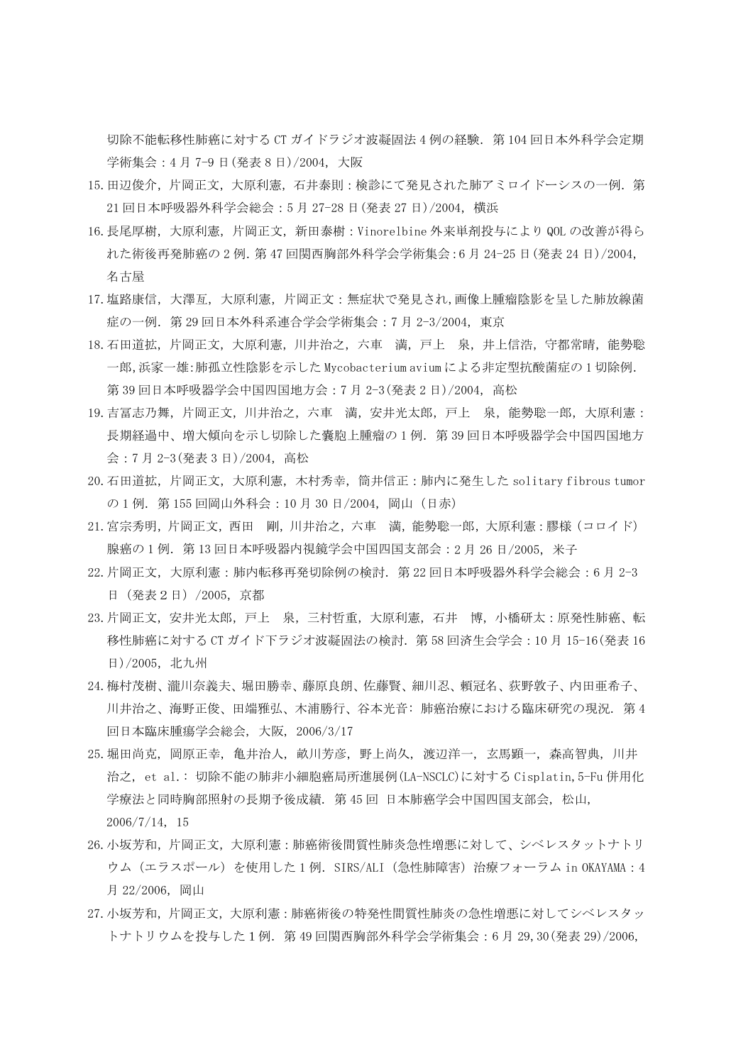切除不能転移性肺癌に対する CT ガイドラジオ波凝固法 4 例の経験. 第 104 回日本外科学会定期 学術集会:4 月 7-9 日(発表 8 日)/2004,大阪

- 15. 田辺俊介,片下岡正文,大原利憲,石井泰則:検診にて発見された肺アミロイドーシスの一例. 第 21 回日本呼吸器外科学会総会:5 月 27-28 日(発表 27 日)/2004,横浜
- 16.長尾厚樹,大原利憲,片岡正文,新田泰樹:Vinorelbine 外来単剤投与により QOL の改善が得ら れた術後再発肺癌の 2 例.第 47 回関西胸部外科学会学術集会:6 月 24-25 日(発表 24 日)/2004, 名古屋
- 17.塩路康信,大澤亙,大原利憲,片岡正文:無症状で発見され,画像上腫瘤陰影を呈した肺放線菌 症の一例.第 29 回日本外科系連合学会学術集会:7 月 2-3/2004,東京
- 18.石田道拡,片岡正文,大原利憲,川井治之,六車 満,戸上 泉,井上信浩,守都常晴,能勢聡 一郎,浜家一雄:肺孤立性陰影を示した Mycobacterium avium による非定型抗酸菌症の 1 切除例. 第 39 回日本呼吸器学会中国四国地方会: 7月 2-3 (発表 2 日) / 2004, 高松
- 19.吉冨志乃舞,片岡正文,川井治之,六車 満,安井光太郎,戸上 泉,能勢聡一郎,大原利憲: 長期経過中、増大傾向を示し切除した嚢胞上腫瘤の 1 例.第 39 回日本呼吸器学会中国四国地方 会:7 月 2-3(発表 3 日)/2004,高松
- 20.石田道拡,片岡正文,大原利憲,木村秀幸,筒井信正:肺内に発生した solitary fibrous tumor の 1 例.第 155 回岡山外科会:10 月 30 日/2004,岡山(日赤)
- 21.宮宗秀明,片岡正文,西田 剛,川井治之,六車 満,能勢聡一郎,大原利憲:膠様(コロイド) 腺癌の1例. 第13回日本呼吸器内視鏡学会中国四国支部会: 2月 26日/2005, 米子
- 22. 片岡正文, 大原利憲: 肺内転移再発切除例の検討. 第 22 回日本呼吸器外科学会総会: 6月 2-3 日(発表2日)/2005,京都
- 23.片岡正文,安井光太郎,戸上 泉,三村哲重,大原利憲,石井 博,小橋研太:原発性肺癌、転 移性肺癌に対する CT ガイド下ラジオ波凝固法の検討. 第58回済生会学会: 10月 15-16(発表16 日)/2005,北九州
- 24.梅村茂樹、瀧川奈義夫、堀田勝幸、藤原良朗、佐藤賢、細川忍、頼冠名、荻野敦子、内田亜希子、 川井治之、海野正俊、田端雅弘、木浦勝行、谷本光音: 肺癌治療における臨床研究の現況. 第 4 回日本臨床腫瘍学会総会, 大阪, 2006/3/17
- 25.堀田尚克, 岡原正幸, 亀井治人, 畝川芳彦, 野上尚久, 渡辺洋一, 玄馬顕一, 森高智典, 川井 治之, et al.: 切除不能の肺非小細胞癌局所進展例(LA-NSCLC)に対する Cisplatin,5-Fu 併用化 学療法と同時胸部照射の長期予後成績. 第 45 回 日本肺癌学会中国四国支部会, 松山, 2006/7/14, 15
- 26.小坂芳和,片岡正文,大原利憲:肺癌術後間質性肺炎急性増悪に対して、シベレスタットナトリ ウム(エラスポール)を使用した 1 例.SIRS/ALI(急性肺障害)治療フォーラム in OKAYAMA:4 月 22/2006,岡山
- 27.小坂芳和,片岡正文,大原利憲:肺癌術後の特発性間質性肺炎の急性増悪に対してシベレスタッ トナトリウムを投与した1例.第 49 回関西胸部外科学会学術集会:6 月 29,30(発表 29)/2006,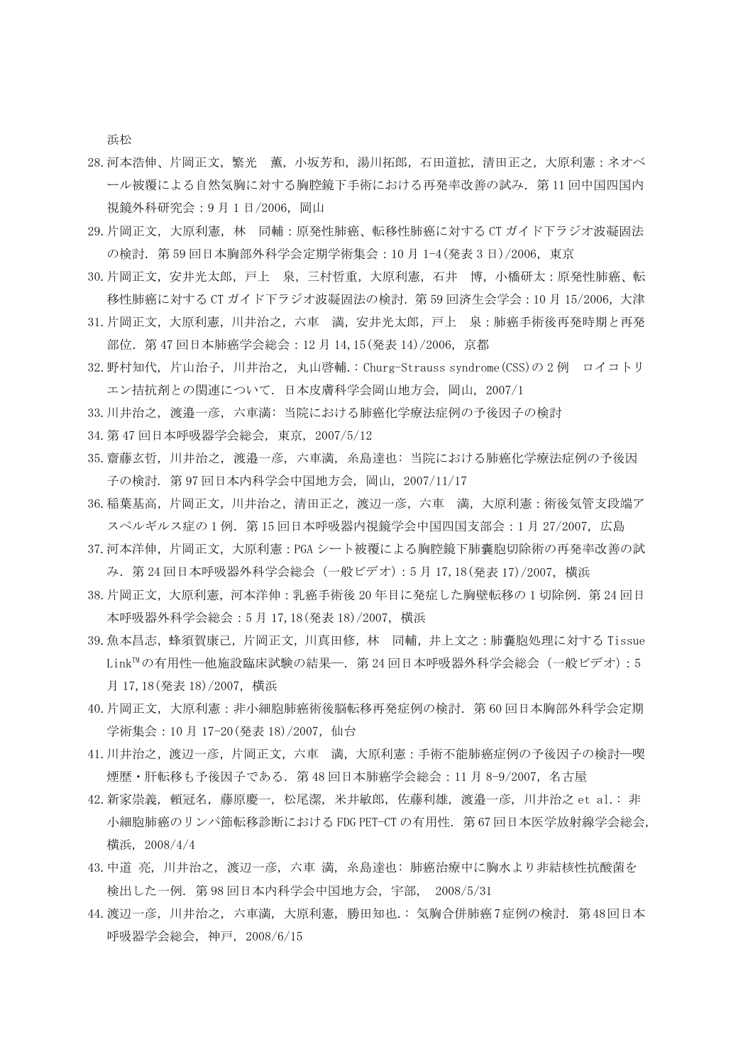浜松

- 28.河本浩伸、片岡正文,繁光 薫,小坂芳和,湯川拓郎,石田道拡,清田正之,大原利憲:ネオベ ール被覆による自然気胸に対する胸腔鏡下手術における再発率改善の試み.第 11 回中国四国内 視鏡外科研究会: 9月1日/2006, 岡山
- 29.片岡正文,大原利憲,林 同輔:原発性肺癌、転移性肺癌に対する CT ガイド下ラジオ波凝固法 の検討.第 59 回日本胸部外科学会定期学術集会:10 月 1-4(発表 3 日)/2006,東京
- 30.片岡正文,安井光太郎,戸上 泉,三村哲重,大原利憲,石井 博,小橋研太:原発性肺癌、転 移性肺癌に対する CT ガイド下ラジオ波凝固法の検討. 第 59 回済生会学会 : 10 月 15/2006, 大津
- 31.片岡正文,大原利憲,川井治之,六車 満,安井光太郎,戸上 泉:肺癌手術後再発時期と再発 部位.第 47 回日本肺癌学会総会:12 月 14,15(発表 14)/2006,京都
- 32.野村知代, 片山治子, 川井治之, 丸山啓輔.: Churg-Strauss syndrome(CSS)の 2 例 ロイコトリ エン拮抗剤との関連について. 日本皮膚科学会岡山地方会, 岡山, 2007/1
- 33.川井治之, 渡邉一彦, 六車満: 当院における肺癌化学療法症例の予後因子の検討
- 34.第 47 回日本呼吸器学会総会, 東京, 2007/5/12
- 35.齋藤玄哲, 川井治之, 渡邉一彦, 六車満, 糸島達也: 当院における肺癌化学療法症例の予後因 子の検討. 第 97 回日本内科学会中国地方会, 岡山, 2007/11/17
- 36.稲葉基高,片岡正文,川井治之,清田正之,渡辺一彦,六車 満,大原利憲:術後気管支段端ア スペルギルス症の 1 例. 第 15 回日本呼吸器内視鏡学会中国四国支部会: 1 月 27/2007, 広島
- 37.河本洋伸,片岡正文,大原利憲:PGA シート被覆による胸腔鏡下肺囊胞切除術の再発率改善の試 み.第 24 回日本呼吸器外科学会総会(一般ビデオ):5 月 17,18(発表 17)/2007,横浜
- 38. 片岡正文, 大原利憲, 河本洋伸 : 乳癌手術後 20 年目に発症した胸壁転移の 1 切除例. 第 24 回日 本呼吸器外科学会総会:5 月 17,18(発表 18)/2007,横浜
- 39.魚本昌志,蜂須賀康己,片岡正文,川真田修,林 同輔,井上文之:肺囊胞処理に対する Tissue Link™の有用性––他施設臨床試験の結果––. 第 24 回日本呼吸器外科学会総会 (一般ビデオ):5 月 17,18(発表 18)/2007,横浜
- 40.片岡正文,大原利憲:非小細胞肺癌術後脳転移再発症例の検討.第 60 回日本胸部外科学会定期 学術集会: 10月 17-20 (発表 18) / 2007, 仙台
- 41.川井治之,渡辺一彦,片岡正文,六車 満,大原利憲:手術不能肺癌症例の予後因子の検討―喫 煙歴・肝転移も予後因子である.第 48 回日本肺癌学会総会:11 月 8-9/2007,名古屋
- 42.新家崇義, 頼冠名, 藤原慶一, 松尾潔, 米井敏郎, 佐藤利雄, 渡邉一彦, 川井治之 et al.: 非 小細胞肺癌のリンパ節転移診断における FDG PET-CT の有用性. 第 67 回日本医学放射線学会総会, 横浜, 2008/4/4
- 43.中道 亮, 川井治之, 渡辺一彦, 六車 満, 糸島達也: 肺癌治療中に胸水より非結核性抗酸菌を 検出した一例. 第 98 回日本内科学会中国地方会, 宇部, 2008/5/31
- 44.渡辺一彦, 川井治之, 六車満, 大原利憲, 勝田知也.: 気胸合併肺癌7症例の検討. 第48回日本 呼吸器学会総会, 神戸, 2008/6/15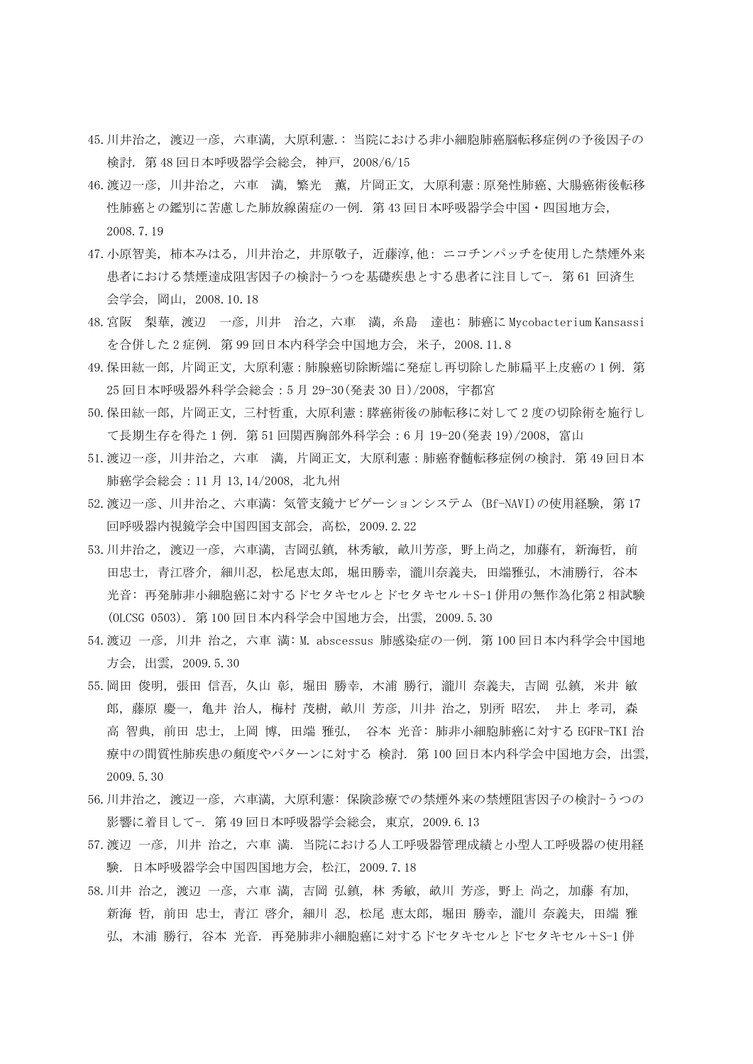- 45.川井治之, 渡辺一彦, 六車満, 大原利憲.: 当院における非小細胞肺癌脳転移症例の予後因子の 検討. 第 48 回日本呼吸器学会総会, 神戸, 2008/6/15
- 46.渡辺一彦, 川井治之, 六車 満, 繁光 薫, 片岡正文, 大原利憲:原発性肺癌、大腸癌術後転移 性肺癌との鑑別に苦慮した肺放線菌症の一例. 第 43 回日本呼吸器学会中国・四国地方会, 2008.7.19
- 47.小原智美, 柿本みはる, 川井治之, 井原敬子, 近藤淳,他: ニコチンパッチを使用した禁煙外来 患者における禁煙達成阻害因子の検討−うつを基礎疾患とする患者に注目して−. 第 61 回済生 会学会, 岡山, 2008.10.18
- 48.宮阪 梨華,渡辺 一彦,川井 治之,六車 満,糸島 達也: 肺癌に Mycobacterium Kansassi を合併した 2 症例. 第 99 回日本内科学会中国地方会, 米子, 2008.11.8
- 49. 保田紘一郎, 片岡正文, 大原利憲: 肺腺癌切除断端に発症し再切除した肺扁平上皮癌の1例. 第 25 回日本呼吸器外科学会総会:5 月 29-30(発表 30 日)/2008, 宇都宮
- 50.保田紘一郎,片岡正文,三村哲重,大原利憲:膵癌術後の肺転移に対して 2 度の切除術を施行し て長期生存を得た1例. 第51回関西胸部外科学会:6月 19-20(発表19)/2008,富山
- 51. 渡辺一彦, 川井治之, 六車 満, 片岡正文, 大原利憲:肺癌脊髄転移症例の検討. 第49回日本 肺癌学会総会:11 月 13,14/2008, 北九州
- 52.渡辺一彦、川井治之、六車満: 気管支鏡ナビゲーションシステム (Bf-NAVI)の使用経験, 第 17 回呼吸器内視鏡学会中国四国支部会, 高松, 2009.2.22
- 53.川井治之, 渡辺一彦, 六車満, 吉岡弘鎮, 林秀敏, 畝川芳彦, 野上尚之, 加藤有, 新海哲, 前 田忠士, 青江啓介, 細川忍, 松尾恵太郎, 堀田勝幸, 瀧川奈義夫, 田端雅弘, 木浦勝行, 谷本 光音: 再発肺非小細胞癌に対するドセタキセルとドセタキセル+S-1 併用の無作為化第 2 相試験 (OLCSG 0503). 第 100 回日本内科学会中国地方会, 出雲, 2009.5.30
- 54.渡辺 一彦, 川井 治之, 六車 満: M. abscessus 肺感染症の一例. 第 100 回日本内科学会中国地 方会, 出雲, 2009.5.30
- 55.岡田 俊明, 張田 信吾, 久山 彰, 堀田 勝幸, 木浦 勝行, 瀧川 奈義夫, 吉岡 弘鎮, 米井 敏 郎, 藤原 慶一, 亀井 治人, 梅村 茂樹, 畝川 芳彦, 川井 治之, 別所 昭宏, 井上 孝司, 森 高 智典, 前田 忠士, 上岡 博, 田端 雅弘, 谷本 光音: 肺非小細胞肺癌に対する EGFR-TKI 治 療中の間質性肺疾患の頻度やパターンに対する 検討. 第 100 回日本内科学会中国地方会, 出雲, 2009.5.30
- 56.川井治之, 渡辺一彦, 六車満, 大原利憲: 保険診療での禁煙外来の禁煙阻害因子の検討-うつの 影響に着目して-. 第 49 回日本呼吸器学会総会, 東京, 2009.6.13
- 57.渡辺 一彦, 川井 治之, 六車 満. 当院における人工呼吸器管理成績と小型人工呼吸器の使用経 験. 日本呼吸器学会中国四国地方会, 松江, 2009.7.18
- 58.川井 治之, 渡辺 一彦, 六車 満, 吉岡 弘鎮, 林 秀敏, 畝川 芳彦, 野上 尚之, 加藤 有加, 新海 哲, 前田 忠士, 青江 啓介, 細川 忍, 松尾 恵太郎, 堀田 勝幸, 瀧川 奈義夫, 田端 雅 弘, 木浦 勝行, 谷本 光音. 再発肺非小細胞癌に対するドセタキセルとドセタキセル+S-1 併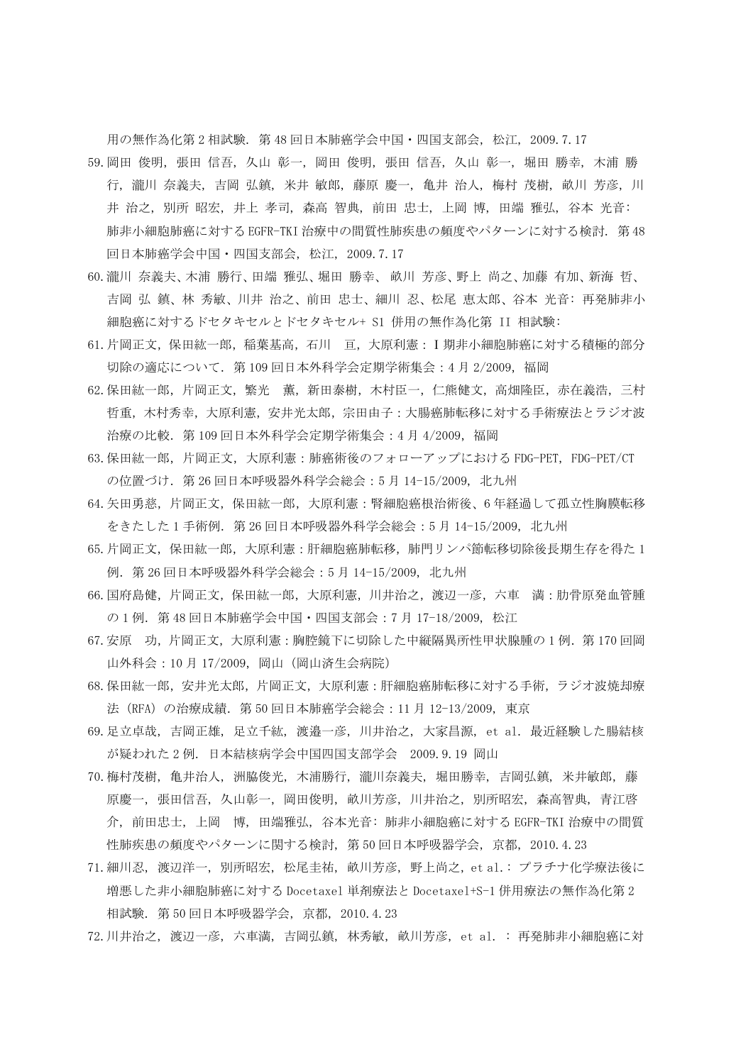用の無作為化第 2 相試験. 第 48 回日本肺癌学会中国・四国支部会, 松江, 2009.7.17

- 59.岡田 俊明, 張田 信吾, 久山 彰一, 岡田 俊明, 張田 信吾, 久山 彰一, 堀田 勝幸, 木浦 勝 行, 瀧川 奈義夫, 吉岡 弘鎮, 米井 敏郎, 藤原 慶一, 亀井 治人, 梅村 茂樹, 畝川 芳彦, 川 井 治之, 別所 昭宏, 井上 孝司, 森高 智典, 前田 忠士, 上岡 博, 田端 雅弘, 谷本 光音: 肺非小細胞肺癌に対する EGFR-TKI 治療中の間質性肺疾患の頻度やパターンに対する検討. 第 48 回日本肺癌学会中国・四国支部会, 松江, 2009.7.17
- 60.瀧川 奈義夫、木浦 勝行、田端 雅弘、堀田 勝幸、 畝川 芳彦、野上 尚之、加藤 有加、新海 哲、 吉岡 弘 鎮、林 秀敏、川井 治之、前田 忠士、細川 忍、松尾 恵太郎、谷本 光音: 再発肺非小 細胞癌に対するドセタキセルとドセタキセル+ S1 併用の無作為化第 II 相試験:
- 61.片岡正文,保田紘一郎,稲葉基高,石川 亘,大原利憲:Ⅰ期非小細胞肺癌に対する積極的部分 切除の適応について.第 109 回日本外科学会定期学術集会:4 月 2/2009,福岡
- 62. 保田紘一郎,片岡正文,繁光 薫,新田泰樹,木村臣一,仁熊健文,高畑隆臣,赤在義浩,三村 哲重,木村秀幸,大原利憲,安井光太郎,宗田由子:大腸癌肺転移に対する手術療法とラジオ波 治療の比較.第 109 回日本外科学会定期学術集会:4 月 4/2009,福岡
- 63.保田紘一郎,片岡正文,大原利憲:肺癌術後のフォローアップにおける FDG-PET, FDG-PET/CT の位置づけ.第 26 回日本呼吸器外科学会総会:5 月 14-15/2009, 北九州
- 64.矢田勇慈,片岡正文,保田紘一郎,大原利憲:腎細胞癌根治術後、6 年経過して孤立性胸膜転移 をきたした 1 手術例.第 26 回日本呼吸器外科学会総会:5 月 14-15/2009, 北九州
- 65.片岡正文,保田紘一郎,大原利憲:肝細胞癌肺転移,肺門リンパ節転移切除後長期生存を得た 1 例.第 26 回日本呼吸器外科学会総会:5 月 14-15/2009, 北九州
- 66.国府島健,片岡正文,保田紘一郎,大原利憲,川井治之,渡辺一彦,六車 満:肋骨原発血管腫 の 1 例.第 48 回日本肺癌学会中国・四国支部会:7 月 17-18/2009, 松江
- 67. 安原 功, 片岡正文, 大原利憲: 胸腔鏡下に切除した中縦隔異所性甲状腺腫の1例. 第170 回岡 山外科会:10 月 17/2009,岡山(岡山済生会病院)
- 68.保田紘一郎,安井光太郎,片岡正文,大原利憲:肝細胞癌肺転移に対する手術,ラジオ波焼却療 法(RFA)の治療成績.第 50 回日本肺癌学会総会:11 月 12-13/2009,東京
- 69.足立卓哉, 吉岡正雄, 足立千紘, 渡邉一彦, 川井治之, 大家昌源, et al. 最近経験した腸結核 が疑われた 2 例. 日本結核病学会中国四国支部学会 2009.9.19 岡山
- 70.梅村茂樹, 亀井治人, 洲脇俊光, 木浦勝行, 瀧川奈義夫, 堀田勝幸, 吉岡弘鎮, 米井敏郎, 藤 原慶一, 張田信吾, 久山彰一, 岡田俊明, 畝川芳彦, 川井治之, 別所昭宏, 森高智典, 青江啓 介, 前田忠士, 上岡 博, 田端雅弘, 谷本光音: 肺非小細胞癌に対する EGFR-TKI 治療中の間質 性肺疾患の頻度やパターンに関する検討, 第 50 回日本呼吸器学会, 京都, 2010.4.23
- 71.細川忍, 渡辺洋一, 別所昭宏, 松尾圭祐, 畝川芳彦, 野上尚之, et al.: プラチナ化学療法後に 増悪した非小細胞肺癌に対する Docetaxel 単剤療法と Docetaxel+S-1 併用療法の無作為化第 2 相試験. 第 50 回日本呼吸器学会, 京都, 2010.4.23
- 72.川井治之, 渡辺一彦, 六車満, 吉岡弘鎮, 林秀敏, 畝川芳彦, et al. : 再発肺非小細胞癌に対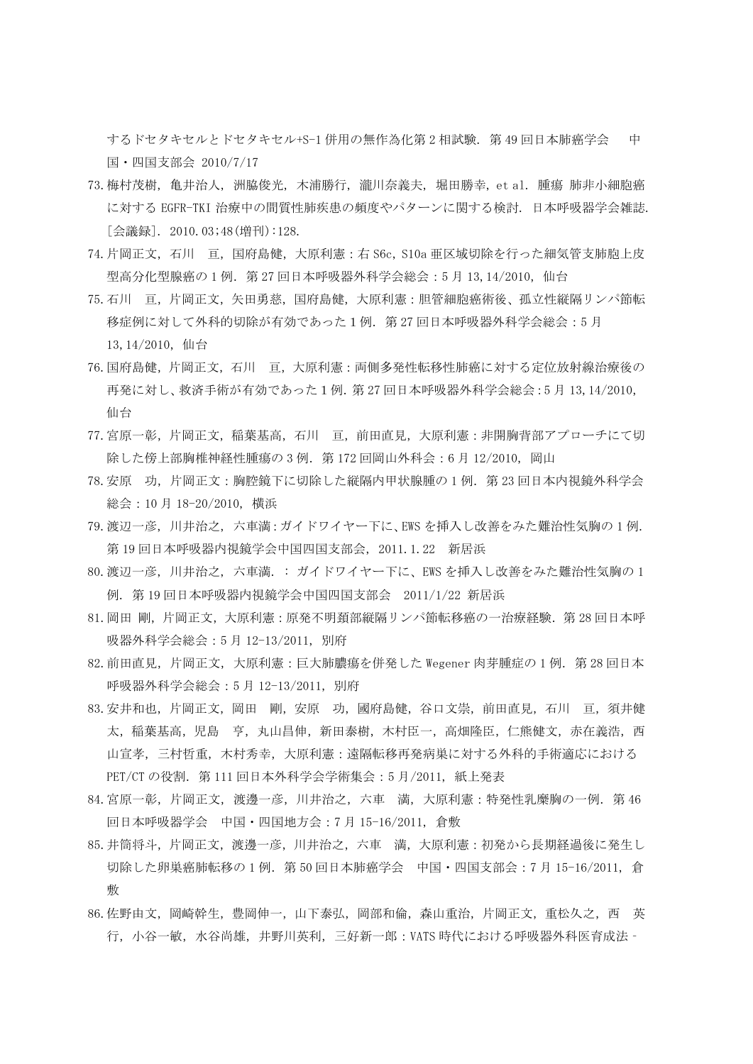するドセタキセルとドセタキセル+S-1 併用の無作為化第 2 相試験. 第 49 回日本肺癌学会 中 国・四国支部会 2010/7/17

- 73.梅村茂樹, 亀井治人, 洲脇俊光, 木浦勝行, 瀧川奈義夫, 堀田勝幸, et al. 腫瘍 肺非小細胞癌 に対する EGFR-TKI 治療中の間質性肺疾患の頻度やパターンに関する検討. 日本呼吸器学会雑誌. [会議録]. 2010.03;48(増刊):128.
- 74.片岡正文,石川 亘,国府島健,大原利憲:右 S6c, S10a 亜区域切除を行った細気管支肺胞上皮 型高分化型腺癌の 1 例. 第 27 回日本呼吸器外科学会総会: 5 月 13,14/2010, 仙台
- 75.石川 亘,片岡正文,矢田勇慈,国府島健,大原利憲:胆管細胞癌術後、孤立性縦隔リンパ節転 移症例に対して外科的切除が有効であった1例.第 27 回日本呼吸器外科学会総会:5 月 13,14/2010,仙台
- 76.国府島健,片岡正文,石川 亘,大原利憲:両側多発性転移性肺癌に対する定位放射線治療後の 再発に対し、救済手術が有効であった1例.第 27 回日本呼吸器外科学会総会:5 月 13,14/2010, 仙台
- 77.宮原一彰,片岡正文,稲葉基高,石川 亘,前田直見,大原利憲:非開胸背部アプローチにて切 除した傍上部胸椎神経性腫瘍の 3 例. 第 172 回岡山外科会: 6 月 12/2010, 岡山
- 78.安原 功,片岡正文:胸腔鏡下に切除した縦隔内甲状腺腫の 1 例.第 23 回日本内視鏡外科学会 総会:10 月 18-20/2010, 横浜
- 79.渡辺一彦, 川井治之, 六車満:ガイドワイヤー下に、EWS を挿入し改善をみた難治性気胸の 1 例. 第 19 回日本呼吸器内視鏡学会中国四国支部会, 2011.1.22 新居浜
- 80.渡辺一彦, 川井治之, 六車満. : ガイドワイヤー下に、EWS を挿入し改善をみた難治性気胸の 1 例. 第 19 回日本呼吸器内視鏡学会中国四国支部会 2011/1/22 新居浜
- 81. 岡田 剛, 片岡正文, 大原利憲 : 原発不明頚部縦隔リンパ節転移癌の一治療経験. 第 28 回日本呼 吸器外科学会総会:5 月 12-13/2011, 別府
- 82. 前田直見, 片岡正文, 大原利憲:巨大肺膿瘍を併発した Wegener 肉芽腫症の 1 例. 第 28 回日本 呼吸器外科学会総会:5 月 12-13/2011, 別府
- 83.安井和也,片岡正文,岡田 剛,安原 功,國府島健,谷口文崇,前田直見,石川 亘,須井健 太, 稲葉基高, 児島 亨, 丸山昌伸, 新田泰樹, 木村臣一, 高畑隆臣, 仁熊健文, 赤在義浩, 西 山宣孝,三村哲重,木村秀幸,大原利憲:遠隔転移再発病巣に対する外科的手術適応における PET/CT の役割. 第 111 回日本外科学会学術集会: 5月/2011, 紙上発表
- 84.宮原一彰,片岡正文,渡邊一彦,川井治之,六車 満,大原利憲:特発性乳糜胸の一例.第 46 回日本呼吸器学会 中国・四国地方会:7 月 15-16/2011, 倉敷
- 85.井筒将斗,片岡正文,渡邊一彦,川井治之,六車 満,大原利憲:初発から長期経過後に発生し 切除した卵巣癌肺転移の 1 例.第 50 回日本肺癌学会 中国・四国支部会:7 月 15-16/2011, 倉 敷
- 86.佐野由文,岡崎幹生,豊岡伸一,山下泰弘,岡部和倫,森山重治,片岡正文,重松久之,西 英 行,小谷一敏,水谷尚雄,井野川英利,三好新一郎:VATS 時代における呼吸器外科医育成法‐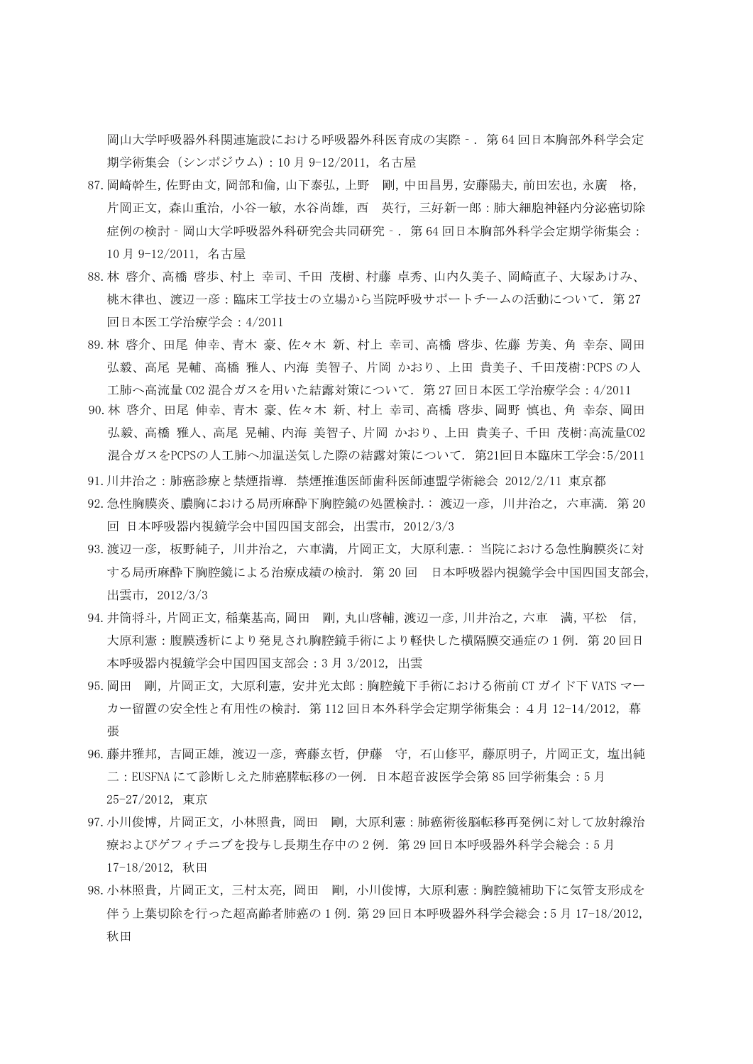岡山大学呼吸器外科関連施設における呼吸器外科医育成の実際‐.第 64 回日本胸部外科学会定 期学術集会(シンポジウム):10 月 9-12/2011, 名古屋

- 87.岡崎幹生,佐野由文,岡部和倫,山下泰弘,上野 剛,中田昌男,安藤陽夫,前田宏也,永廣 格, 片岡正文,森山重治,小谷一敏,水谷尚雄,西 英行,三好新一郎:肺大細胞神経内分泌癌切除 症例の検討‐岡山大学呼吸器外科研究会共同研究‐.第 64 回日本胸部外科学会定期学術集会: 10 月 9-12/2011, 名古屋
- 88.林 啓介、高橋 啓歩、村上 幸司、千田 茂樹、村藤 卓秀、山内久美子、岡崎直子、大塚あけみ、 桃木律也、渡辺一彦:臨床工学技士の立場から当院呼吸サポートチームの活動について.第 27 回日本医工学治療学会:4/2011
- 89.林 啓介、田尾 伸幸、青木 豪、佐々木 新、村上 幸司、高橋 啓歩、佐藤 芳美、角 幸奈、岡田 弘毅、高尾 晃輔、高橋 雅人、内海 美智子、片岡 かおり、上田 貴美子、千田茂樹:PCPS の人 工肺へ高流量 CO2 混合ガスを用いた結露対策について. 第 27 回日本医工学治療学会: 4/2011
- 90.林 啓介、田尾 伸幸、青木 豪、佐々木 新、村上 幸司、高橋 啓歩、岡野 慎也、角 幸奈、岡田 弘毅、高橋 雅人、高尾 晃輔、内海 美智子、片岡 かおり、上田 貴美子、千田 茂樹:高流量CO2 混合ガスをPCPSの人工肺へ加温送気した際の結露対策について. 第21回日本臨床工学会:5/2011
- 91.川井治之:肺癌診療と禁煙指導. 禁煙推進医師歯科医師連盟学術総会 2012/2/11 東京都
- 92.急性胸膜炎、膿胸における局所麻酔下胸腔鏡の処置検討.: 渡辺一彦, 川井治之, 六車満. 第 20 回 日本呼吸器内視鏡学会中国四国支部会, 出雲市, 2012/3/3
- 93.渡辺一彦, 板野純子, 川井治之, 六車満, 片岡正文, 大原利憲.: 当院における急性胸膜炎に対 する局所麻酔下胸腔鏡による治療成績の検討. 第 20 回 日本呼吸器内視鏡学会中国四国支部会, 出雲市, 2012/3/3
- 94. 井筒将斗, 片岡正文, 稲葉基高, 岡田 剛, 丸山啓輔, 渡辺一彦, 川井治之, 六車 満, 平松 信, 大原利憲:腹膜透析により発見され胸腔鏡手術により軽快した横隔膜交通症の1例. 第20回日 本呼吸器内視鏡学会中国四国支部会:3 月 3/2012, 出雲
- 95.岡田 剛,片岡正文,大原利憲,安井光太郎:胸腔鏡下手術における術前 CT ガイド下 VATS マー カー留置の安全性と有用性の検討.第 112 回日本外科学会定期学術集会:4月 12-14/2012,幕 張
- 96.藤井雅邦,吉岡正雄,渡辺一彦,齊藤玄哲,伊藤 守,石山修平,藤原明子,片岡正文,塩出純 二:EUSFNA にて診断しえた肺癌膵転移の一例.日本超音波医学会第 85 回学術集会:5 月 25-27/2012, 東京
- 97. 小川俊博, 片岡正文, 小林照貴, 岡田 剛, 大原利憲: 肺癌術後脳転移再発例に対して放射線治 療およびゲフィチニブを投与し長期生存中の 2例. 第29回日本呼吸器外科学会総会:5月 17-18/2012, 秋田
- 98.小林照貴,片岡正文,三村太亮,岡田 剛,小川俊博,大原利憲:胸腔鏡補助下に気管支形成を 伴う上葉切除を行った超高齢者肺癌の 1 例.第 29 回日本呼吸器外科学会総会:5 月 17-18/2012, 秋田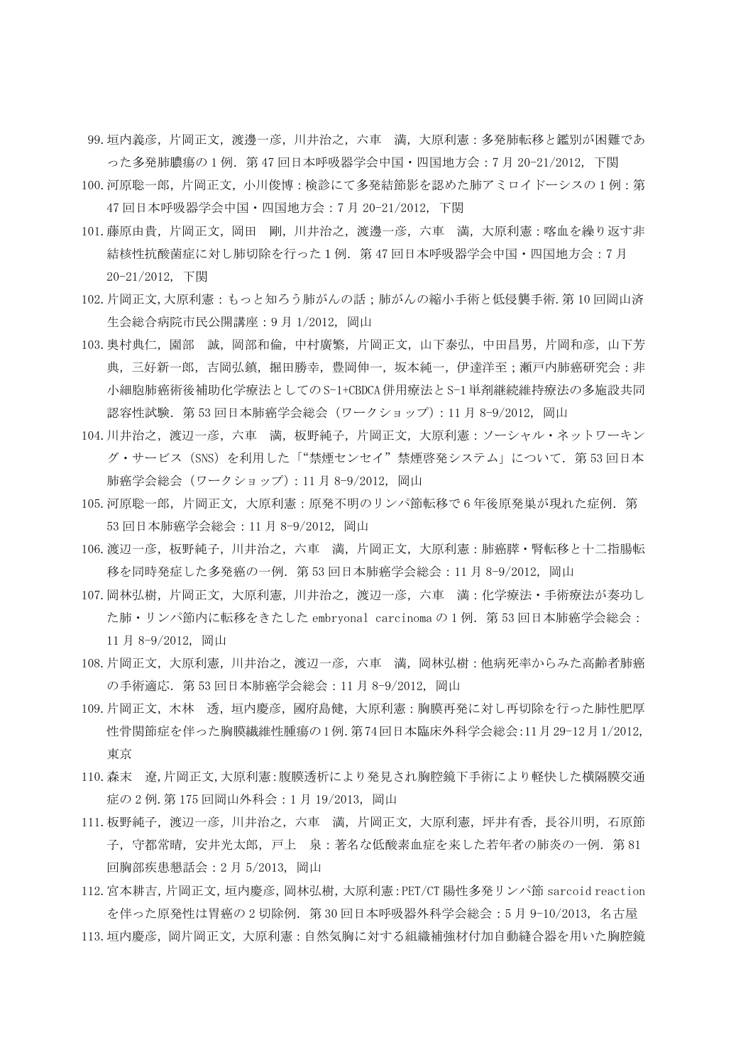- 99.垣内義彦,片岡正文,渡邊一彦,川井治之,六車 満,大原利憲:多発肺転移と鑑別が困難であ った多発肺膿瘍の 1 例.第 47 回日本呼吸器学会中国・四国地方会:7 月 20-21/2012, 下関
- 100. 河原聡一郎, 片岡正文, 小川俊博:検診にて多発結節影を認めた肺アミロイドーシスの1例:第 47 回日本呼吸器学会中国・四国地方会:7 月 20-21/2012, 下関
- 101.藤原由貴,片岡正文,岡田 剛,川井治之,渡邊一彦,六車 満,大原利憲:喀血を繰り返す非 結核性抗酸菌症に対し肺切除を行った1例.第 47 回日本呼吸器学会中国・四国地方会:7 月 20-21/2012, 下関
- 102.片岡正文,大原利憲:もっと知ろう肺がんの話;肺がんの縮小手術と低侵襲手術.第 10 回岡山済 生会総合病院市民公開講座:9 月 1/2012, 岡山
- 103. 奥村典仁, 園部 誠, 岡部和倫, 中村廣繁, 片岡正文, 山下泰弘, 中田昌男, 片岡和彦, 山下芳 典,三好新一郎,吉岡弘鎮,掘田勝幸,豊岡伸一,坂本純一,伊達洋至;瀬戸内肺癌研究会:非 小細胞肺癌術後補助化学療法としてのS-1+CBDCA併用療法とS-1単剤継続維持療法の多施設共同 認容性試験.第 53 回日本肺癌学会総会(ワークショップ):11 月 8-9/2012, 岡山
- 104.川井治之,渡辺一彦,六車 満,板野純子,片岡正文,大原利憲:ソーシャル・ネットワーキン グ・サービス (SNS) を利用した「"禁煙センセイ"禁煙啓発システム」について. 第 53 回日本 肺癌学会総会(ワークショップ):11 月 8-9/2012, 岡山
- 105. 河原聡一郎, 片岡正文, 大原利憲:原発不明のリンパ節転移で6年後原発巣が現れた症例. 第 53 回日本肺癌学会総会:11 月 8-9/2012, 岡山
- 106.渡辺一彦,板野純子,川井治之,六車 満,片岡正文,大原利憲:肺癌膵・腎転移と十二指腸転 移を同時発症した多発癌の一例.第 53 回日本肺癌学会総会:11 月 8-9/2012, 岡山
- 107.岡林弘樹,片岡正文,大原利憲,川井治之,渡辺一彦,六車 満:化学療法・手術療法が奏功し た肺・リンパ節内に転移をきたした embryonal carcinoma の 1 例.第 53 回日本肺癌学会総会: 11 月 8-9/2012, 岡山
- 108.片岡正文,大原利憲,川井治之,渡辺一彦,六車 満,岡林弘樹:他病死率からみた高齢者肺癌 の手術適応.第 53 回日本肺癌学会総会:11 月 8-9/2012, 岡山
- 109.片岡正文,木林 透,垣内慶彦,國府島健,大原利憲:胸膜再発に対し再切除を行った肺性肥厚 性骨関節症を伴った胸膜繊維性腫瘍の1例.第74回日本臨床外科学会総会:11月29-12月1/2012, 東京
- 110.森末 遼,片岡正文,大原利憲:腹膜透析により発見され胸腔鏡下手術により軽快した横隔膜交通 症の 2 例.第 175 回岡山外科会:1 月 19/2013, 岡山
- 111.板野純子,渡辺一彦,川井治之,六車 満,片岡正文,大原利憲,坪井有香,長谷川明,石原節 子,守都常晴,安井光太郎,戸上 泉:著名な低酸素血症を来した若年者の肺炎の一例. 第81 回胸部疾患懇話会:2 月 5/2013, 岡山

112.宮本耕吉,片岡正文,垣内慶彦,岡林弘樹,大原利憲:PET/CT 陽性多発リンパ節 sarcoid reaction を伴った原発性は胃癌の 2 切除例.第 30 回日本呼吸器外科学会総会:5 月 9-10/2013, 名古屋 113.垣内慶彦,岡片岡正文,大原利憲:自然気胸に対する組織補強材付加自動縫合器を用いた胸腔鏡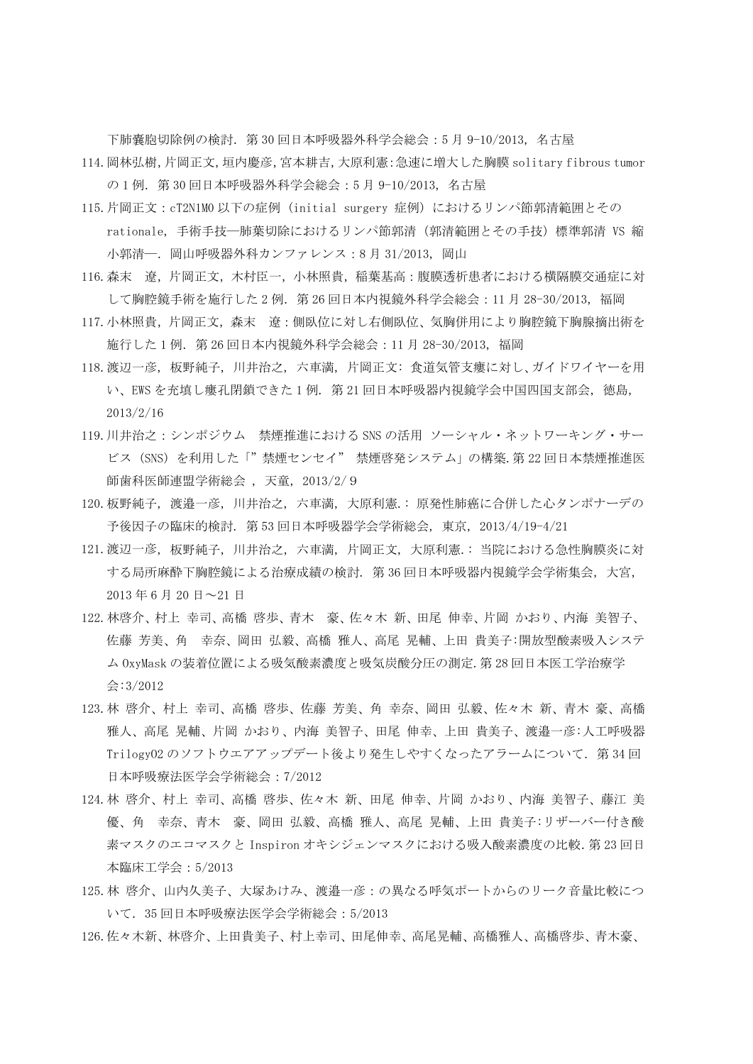下肺嚢胞切除例の検討.第 30 回日本呼吸器外科学会総会:5 月 9-10/2013, 名古屋

114.岡林弘樹,片岡正文,垣内慶彦,宮本耕吉,大原利憲:急速に増大した胸膜 solitary fibrous tumor の 1 例.第 30 回日本呼吸器外科学会総会:5 月 9-10/2013, 名古屋

- 115.片岡正文:cT2N1M0 以下の症例 (initial surgery 症例) におけるリンパ節郭清範囲とその rationale, 手術手技––肺葉切除におけるリンパ節郭清 (郭清範囲とその手技)標準郭清 VS 縮 小郭清―.岡山呼吸器外科カンファレンス:8 月 31/2013, 岡山
- 116.森末 遼,片岡正文,木村臣一,小林照貴,稲葉基高:腹膜透析患者における横隔膜交通症に対 して胸腔鏡手術を施行した 2 例.第 26 回日本内視鏡外科学会総会:11 月 28-30/2013, 福岡
- 117.小林照貴,片岡正文,森末 遼:側臥位に対し右側臥位、気胸併用により胸腔鏡下胸腺摘出術を 施行した 1 例.第 26 回日本内視鏡外科学会総会:11 月 28-30/2013, 福岡
- 118.渡辺一彦, 板野純子, 川井治之, 六車満, 片岡正文: 食道気管支瘻に対し、ガイドワイヤーを用 い、EWS を充填し瘻孔閉鎖できた 1 例. 第 21 回日本呼吸器内視鏡学会中国四国支部会, 徳島, 2013/2/16
- 119.川井治之:シンポジウム 禁煙推進における SNS の活用 ソーシャル・ネットワーキング・サー ビス (SNS) を利用した「"禁煙センセイ" 禁煙啓発システム」の構築.第 22 回日本禁煙推進医 師歯科医師連盟学術総会 , 天童, 2013/2/9
- 120.板野純子, 渡邉一彦, 川井治之, 六車満, 大原利憲.: 原発性肺癌に合併した心タンポナーデの 予後因子の臨床的検討. 第 53 回日本呼吸器学会学術総会, 東京, 2013/4/19-4/21
- 121.渡辺一彦, 板野純子, 川井治之, 六車満, 片岡正文, 大原利憲.: 当院における急性胸膜炎に対 する局所麻酔下胸腔鏡による治療成績の検討. 第 36 回日本呼吸器内視鏡学会学術集会, 大宮, 2013 年 6 月 20 日~21 日
- 122.林啓介、村上 幸司、高橋 啓歩、青木 豪、佐々木 新、田尾 伸幸、片岡 かおり、内海 美智子、 佐藤 芳美、角 幸奈、岡田 弘毅、高橋 雅人、高尾 晃輔、上田 貴美子:開放型酸素吸入システ ム OxyMask の装着位置による吸気酸素濃度と吸気炭酸分圧の測定.第 28 回日本医工学治療学 会:3/2012
- 123.林 啓介、村上 幸司、高橋 啓歩、佐藤 芳美、角 幸奈、岡田 弘毅、佐々木 新、青木 豪、高橋 雅人、高尾 晃輔、片岡 かおり、内海 美智子、田尾 伸幸、上田 貴美子、渡邉一彦:人工呼吸器 Trilogy02 のソフトウエアアップデート後より発生しやすくなったアラームについて. 第34回 日本呼吸療法医学会学術総会:7/2012
- 124.林 啓介、村上 幸司、高橋 啓歩、佐々木 新、田尾 伸幸、片岡 かおり、内海 美智子、藤江 美 優、角 幸奈、青木 豪、岡田 弘毅、高橋 雅人、高尾 晃輔、上田 貴美子:リザーバー付き酸 素マスクのエコマスクと Inspiron オキシジェンマスクにおける吸入酸素濃度の比較. 第23回日 本臨床工学会:5/2013
- 125.林 啓介、山内久美子、大塚あけみ、渡邉一彦:の異なる呼気ポートからのリーク音量比較につ いて.35 回日本呼吸療法医学会学術総会:5/2013
- 126.佐々木新、林啓介、上田貴美子、村上幸司、田尾伸幸、高尾晃輔、高橋雅人、高橋啓歩、青木豪、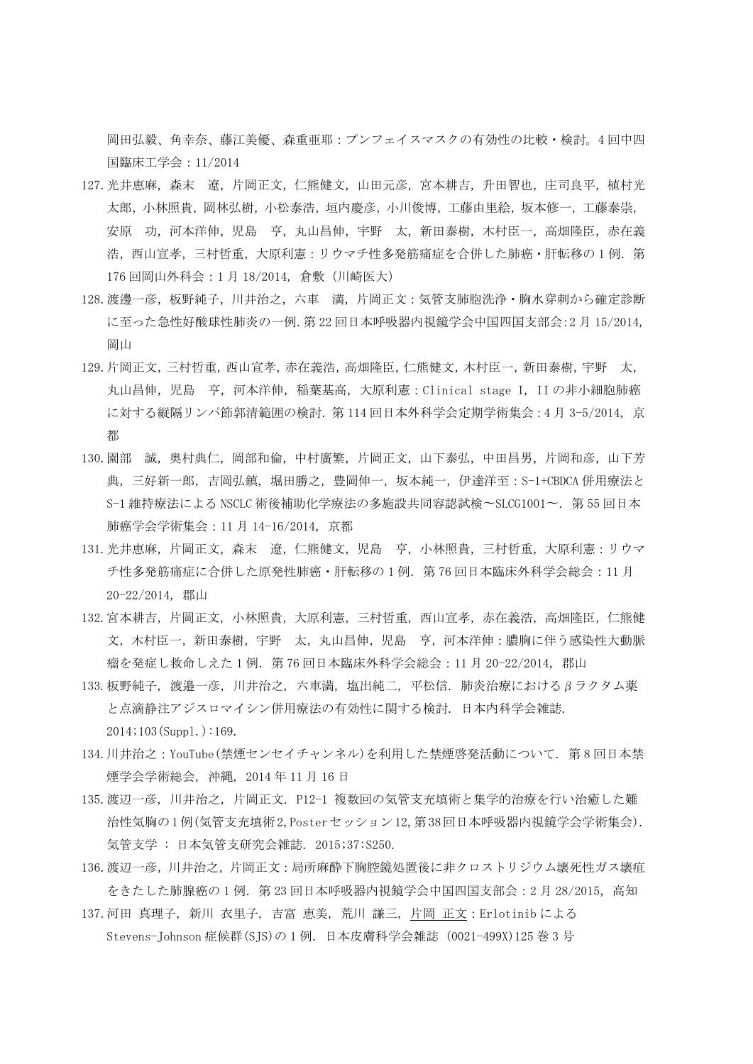岡田弘毅、角幸奈、藤江美優、森重亜耶:プンフェイスマスクの有効性の比較・検討。4 回中四 国臨床工学会:11/2014

- 127.光井恵麻,森末 遼,片岡正文,仁熊健文,山田元彦,宮本耕吉,升田智也,庄司良平,植村光 太郎,小林照貴,岡林弘樹,小松泰浩,垣内慶彦,小川俊博,工藤由里絵,坂本修一,工藤泰崇, 安原 功, 河本洋伸, 児島 亨, 丸山昌伸, 宇野 太, 新田泰樹, 木村臣一, 高畑隆臣, 赤在義 浩,西山宣孝,三村哲重,大原利憲:リウマチ性多発筋痛症を合併した肺癌·肝転移の1例. 第 176 回岡山外科会:1 月 18/2014, 倉敷(川崎医大)
- 128.渡邊一彦,板野純子,川井治之,六車 満,片岡正文:気管支肺胞洗浄・胸水穿刺から確定診断 に至った急性好酸球性肺炎の一例.第 22 回日本呼吸器内視鏡学会中国四国支部会:2 月 15/2014, 岡山
- 129.片岡正文,三村哲重,西山宣孝,赤在義浩,高畑隆臣,仁熊健文,木村臣一,新田泰樹,宇野 太, 丸山昌伸,児島 亨,河本洋伸,稲葉基高,大原利憲:Clinical stage I, II の非小細胞肺癌 に対する縦隔リンパ節郭清範囲の検討.第 114 回日本外科学会定期学術集会:4 月 3-5/2014, 京 都
- 130. 園部 誠, 奥村典仁, 岡部和倫, 中村廣繁, 片岡正文, 山下泰弘, 中田昌男, 片岡和彦, 山下芳 典,三好新一郎,吉岡弘鎮,堀田勝之,豊岡伸一,坂本純一,伊達洋至: S-1+CBDCA 併用療法と S-1 維持療法による NSCLC 術後補助化学療法の多施設共同容認試検〜SLCG1001〜.第 55 回日本 肺癌学会学術集会:11 月 14-16/2014, 京都
- 131.光井恵麻,片岡正文,森末 遼,仁熊健文,児島 亨,小林照貴,三村哲重,大原利憲:リウマ チ性多発筋痛症に合併した原発性肺癌·肝転移の1例. 第76回日本臨床外科学会総会: 11月 20-22/2014, 郡山
- 132.宮本耕吉,片岡正文,小林照貴,大原利憲,三村哲重,西山宣孝,赤在義浩,高畑隆臣,仁熊健 文,木村臣一,新田泰樹,宇野 太,丸山昌伸,児島 亨,河本洋伸:膿胸に伴う感染性大動脈 瘤を発症し救命しえた1例. 第76回日本臨床外科学会総会: 11月 20-22/2014, 郡山
- 133.板野純子, 渡邉一彦, 川井治之, 六車満, 塩出純二, 平松信. 肺炎治療におけるβラクタム薬 と点滴静注アジスロマイシン併用療法の有効性に関する検討. 日本内科学会雑誌.  $2014;103(Supp1.):169.$
- 134.川井治之:YouTube(禁煙センセイチャンネル)を利用した禁煙啓発活動について. 第 8 回日本禁 煙学会学術総会, 沖縄, 2014 年 11 月 16 日
- 135.渡辺一彦, 川井治之, 片岡正文. P12-1 複数回の気管支充填術と集学的治療を行い治癒した難 治性気胸の1例(気管支充填術2,Posterセッション12,第38回日本呼吸器内視鏡学会学術集会). 気管支学 : 日本気管支研究会雑誌. 2015;37:S250.
- 136.渡辺一彦,川井治之,片岡正文:局所麻酔下胸腔鏡処置後に非クロストリジウム壊死性ガス壊疽 をきたした肺腺癌の1例. 第23回日本呼吸器内視鏡学会中国四国支部会: 2月 28/2015, 高知
- 137.河田 [真理子](http://personalsearch.jamas.or.jp/api/opensearch?q=%5b%89%CD%93c%90%5E%97%9D%8Eq%5d/AU), 新川 [衣里子](http://personalsearch.jamas.or.jp/api/opensearch?q=%5b%90V%90%EC%88%DF%97%A2%8Eq%5d/AU), [吉富](http://personalsearch.jamas.or.jp/api/opensearch?q=%5b%8Bg%95x%8Cb%94%FC%5d/AU) 恵美, 荒川 [謙三](http://personalsearch.jamas.or.jp/api/opensearch?q=%5b%8Dr%90%EC%8C%AA%8EO%5d/AU), 片岡 [正文:](http://personalsearch.jamas.or.jp/api/opensearch?q=%5b%95%D0%89%AA%90%B3%95%B6%5d/AU)Erlotinib による Stevens-Johnson 症候群(SJS)の 1 例[.日本皮膚科学会雑誌](http://personalsearch.jamas.or.jp/index.php) (0021-499X)125 巻 3 号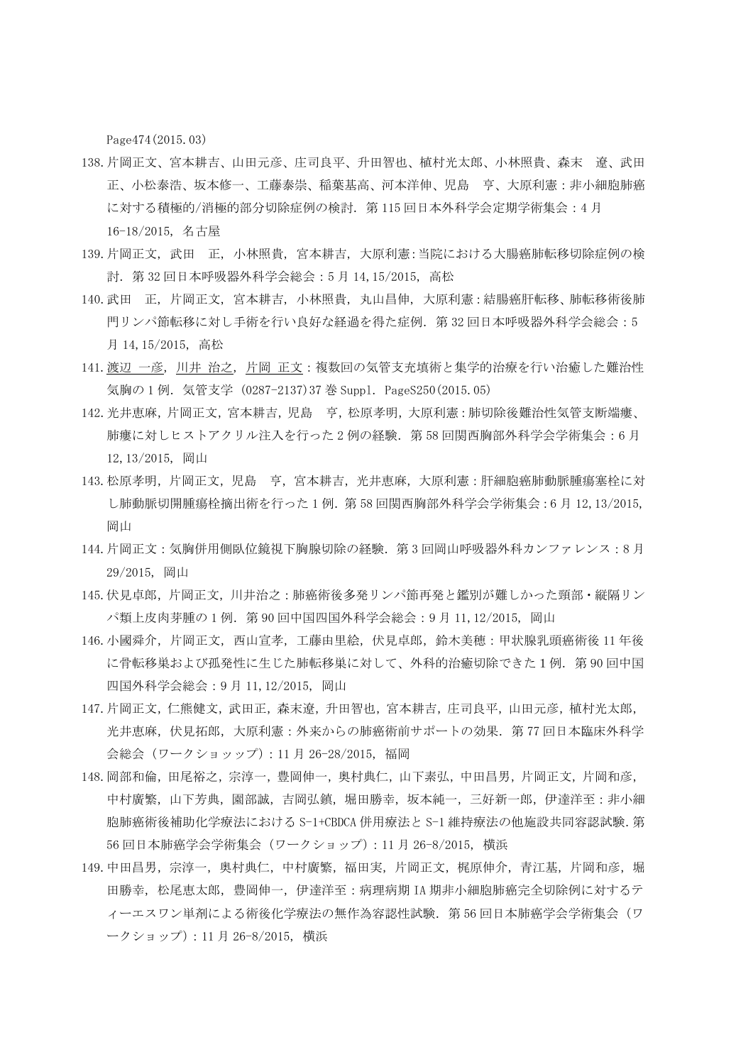Page474(2015.03)

- 138.片岡正文、宮本耕吉、山田元彦、庄司良平、升田智也、植村光太郎、小林照貴、森末 遼、武田 正、小松泰浩、坂本修一、工藤泰崇、稲葉基高、河本洋伸、児島 亨、大原利憲: 非小細胞肺癌 に対する積極的/消極的部分切除症例の検討. 第115 回日本外科学会定期学術集会: 4月 16-18/2015, 名古屋
- 139.片岡正文, 武田 正, 小林照貴, 宮本耕吉, 大原利憲:当院における大腸癌肺転移切除症例の検 討.第 32 回日本呼吸器外科学会総会:5 月 14,15/2015, 高松
- 140.武田 正, 片岡正文, 宮本耕吉, 小林照貴, 丸山昌伸, 大原利憲:結腸癌肝転移、肺転移術後肺 門リンパ節転移に対し手術を行い良好な経過を得た症例.第 32 回日本呼吸器外科学会総会:5 月 14,15/2015, 高松
- 141.[渡辺](http://personalsearch.jamas.or.jp/api/opensearch?q=%5b%93n%95%D3%88%EA%95F%5d/AU) 一彦, [川井](http://personalsearch.jamas.or.jp/api/opensearch?q=%5b%90%EC%88%E4%8E%A1%94V%5d/AU) 治之, 片岡 [正文:](http://personalsearch.jamas.or.jp/api/opensearch?q=%5b%95%D0%89%AA%90%B3%95%B6%5d/AU)複数回の気管支充填術と集学的治療を行い治癒した難治性 気胸の 1 例[.気管支学](http://personalsearch.jamas.or.jp/index.php) (0287-2137)37 巻 Suppl. PageS250(2015.05)
- 142.光井恵麻,片岡正文,宮本耕吉,児島 亨,松原孝明,大原利憲:肺切除後難治性気管支断端瘻、 肺瘻に対しヒストアクリル注入を行った 2 例の経験. 第58 回関西胸部外科学会学術集会:6月 12,13/2015, 岡山
- 143. 松原孝明, 片岡正文, 児島 亨, 宮本耕吉, 光井恵麻, 大原利憲:肝細胞癌肺動脈腫瘍塞栓に対 し肺動脈切開腫瘍栓摘出術を行った 1 例.第 58 回関西胸部外科学会学術集会:6 月 12,13/2015, 岡山
- 144.片岡正文:気胸併用側臥位鏡視下胸腺切除の経験.第 3 回岡山呼吸器外科カンファレンス:8 月 29/2015, 岡山
- 145.伏見卓郎,片岡正文,川井治之:肺癌術後多発リンパ節再発と鑑別が難しかった頸部・縦隔リン パ類上皮肉芽腫の 1 例.第 90 回中国四国外科学会総会:9 月 11,12/2015, 岡山
- 146.小國舜介,片岡正文,西山宣孝,工藤由里絵,伏見卓郎,鈴木美穂:甲状腺乳頭癌術後 11 年後 に骨転移巣および孤発性に生じた肺転移巣に対して、外科的治癒切除できた1例.第 90 回中国 四国外科学会総会:9 月 11,12/2015, 岡山
- 147.片岡正文,仁熊健文,武田正,森末遼,升田智也,宮本耕吉,庄司良平,山田元彦,植村光太郎, 光井恵麻,伏見拓郎,大原利憲:外来からの肺癌術前サポートの効果.第 77 回日本臨床外科学 会総会(ワークショッップ):11 月 26-28/2015, 福岡
- 148.岡部和倫,田尾裕之,宗淳一,豊岡伸一,奥村典仁,山下素弘,中田昌男,片岡正文,片岡和彦, 中村廣繁,山下芳典,園部誠,吉岡弘鎮,堀田勝幸,坂本純一,三好新一郎,伊達洋至:非小細 胞肺癌術後補助化学療法における S-1+CBDCA 併用療法と S-1 維持療法の他施設共同容認試験.第 56 回日本肺癌学会学術集会(ワークショップ):11 月 26-8/2015, 横浜
- 149. 中田昌男, 宗淳一, 奥村典仁, 中村廣繁, 福田実, 片岡正文, 梶原伸介, 青江基, 片岡和彦, 堀 田勝幸, 松尾恵太郎, 豊岡伸一, 伊達洋至: 病理病期 IA 期非小細胞肺癌完全切除例に対するテ ィーエスワン単剤による術後化学療法の無作為容認性試験. 第56 回日本肺癌学会学術集会(ワ ークショップ):11 月 26-8/2015, 横浜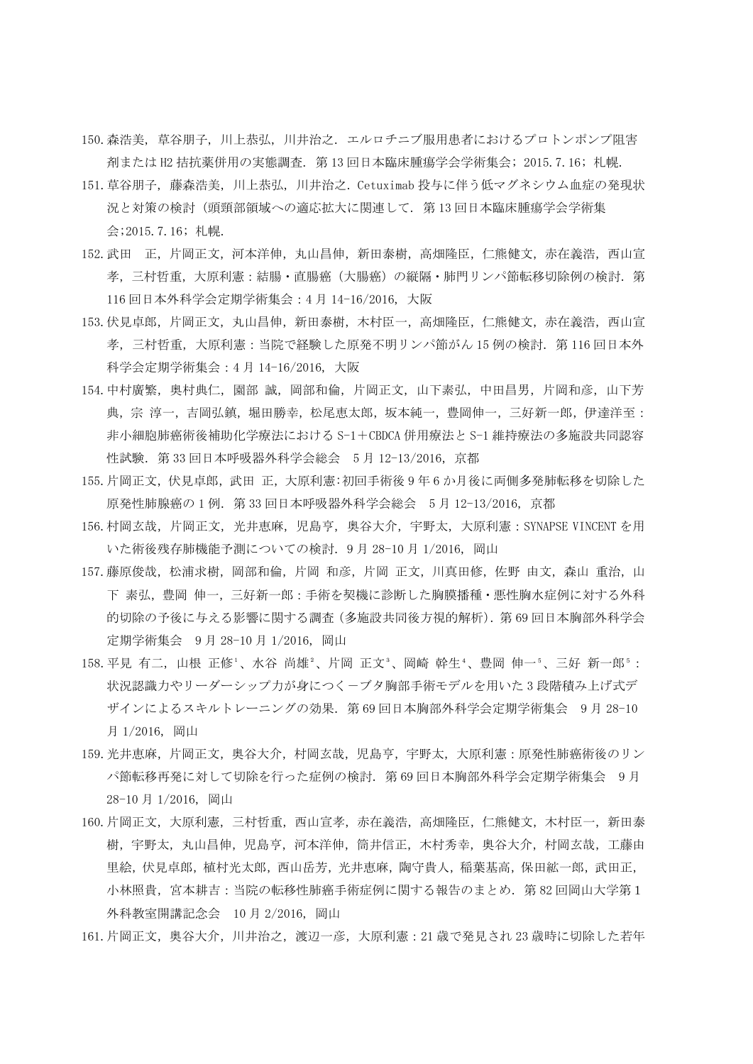- 150.森浩美, 草谷朋子, 川上恭弘, 川井治之. エルロチニブ服用患者におけるプロトンポンプ阻害 剤または H2 拮抗薬併用の実態調査. 第 13 回日本臨床腫瘍学会学術集会; 2015.7.16; 札幌.
- 151.草谷朋子, 藤森浩美, 川上恭弘, 川井治之. Cetuximab 投与に伴う低マグネシウム血症の発現状 況と対策の検討(頭頸部領域への適応拡大に関連して. 第 13 回日本臨床腫瘍学会学術集 会;2015.7.16; 札幌.
- 152. 武田 正, 片岡正文, 河本洋伸, 丸山昌伸, 新田泰樹, 高畑隆臣, 仁熊健文, 赤在義浩, 西山宣 孝,三村哲重,大原利憲:結腸・直腸癌(大腸癌)の縦隔・肺門リンパ節転移切除例の検討.第 116 回日本外科学会定期学術集会:4 月 14-16/2016, 大阪
- 153.伏見卓郎,片岡正文,丸山昌伸,新田泰樹,木村臣一,高畑隆臣,仁熊健文,赤在義浩,西山宣 孝,三村哲重,大原利憲:当院で経験した原発不明リンパ節がん 15 例の検討. 第 116 回日本外 科学会定期学術集会:4 月 14-16/2016, 大阪
- 154. 中村廣繁, 奥村典仁, 園部 誠, 岡部和倫, 片岡正文, 山下素弘, 中田昌男, 片岡和彦, 山下芳 典,宗 淳一,吉岡弘鎮,堀田勝幸,松尾恵太郎,坂本純一,豊岡伸一,三好新一郎,伊達洋至: 非小細胞肺癌術後補助化学療法における S-1+CBDCA 併用療法と S-1 維持療法の多施設共同認容 性試験.第 33 回日本呼吸器外科学会総会 5 月 12-13/2016,京都
- 155.片岡正文,伏見卓郎,武田 正,大原利憲:初回手術後 9 年 6 か月後に両側多発肺転移を切除した 原発性肺腺癌の 1 例. 第 33 回日本呼吸器外科学会総会 5 月 12-13/2016, 京都
- 156.村岡玄哉,片岡正文,光井恵麻,児島亨,奥谷大介,宇野太,大原利憲:SYNAPSE VINCENT を用 いた術後残存肺機能予測についての検討.9 月 28-10 月 1/2016, 岡山
- 157. 藤原俊哉, 松浦求樹, 岡部和倫, 片岡 和彦, 片岡 正文, 川真田修, 佐野 由文, 森山 重治, 山 下 素弘,豊岡 伸一,三好新一郎:手術を契機に診断した胸膜播種・悪性胸水症例に対する外科 的切除の予後に与える影響に関する調査(多施設共同後方視的解析).第 69 回日本胸部外科学会 定期学術集会 9 月 28-10 月 1/2016, 岡山
- 158. 平見 有二, 山根 正修'、水谷 尚雄'、片岡 正文<sup>3</sup>、岡崎 幹生'、豊岡 伸一5、三好 新一郎5: 状況認識力やリーダーシップ力が身につくーブタ胸部手術モデルを用いた 3 段階積み上げ式デ ザインによるスキルトレーニングの効果.第 69 回日本胸部外科学会定期学術集会 9 月 28-10 月 1/2016, 岡山
- 159.光井恵麻,片岡正文,奥谷大介,村岡玄哉,児島亨,宇野太,大原利憲:原発性肺癌術後のリン パ節転移再発に対して切除を行った症例の検討.第 69 回日本胸部外科学会定期学術集会 9 月 28-10 月 1/2016, 岡山
- 160. 片岡正文, 大原利憲, 三村哲重, 西山宣孝, 赤在義浩, 高畑隆臣, 仁熊健文, 木村臣一, 新田泰 樹,宇野太,丸山昌伸,児島亨,河本洋伸,筒井信正,木村秀幸,奥谷大介,村岡玄哉,工藤由 里絵,伏見卓郎,植村光太郎,西山岳芳,光井恵麻,陶守貴人,稲葉基高,保田絋一郎,武田正, 小林照貴,宮本耕吉:当院の転移性肺癌手術症例に関する報告のまとめ.第 82 回岡山大学第1 外科教室開講記念会 10 月 2/2016, 岡山
- 161.片岡正文,奥谷大介,川井治之,渡辺一彦,大原利憲:21 歳で発見され 23 歳時に切除した若年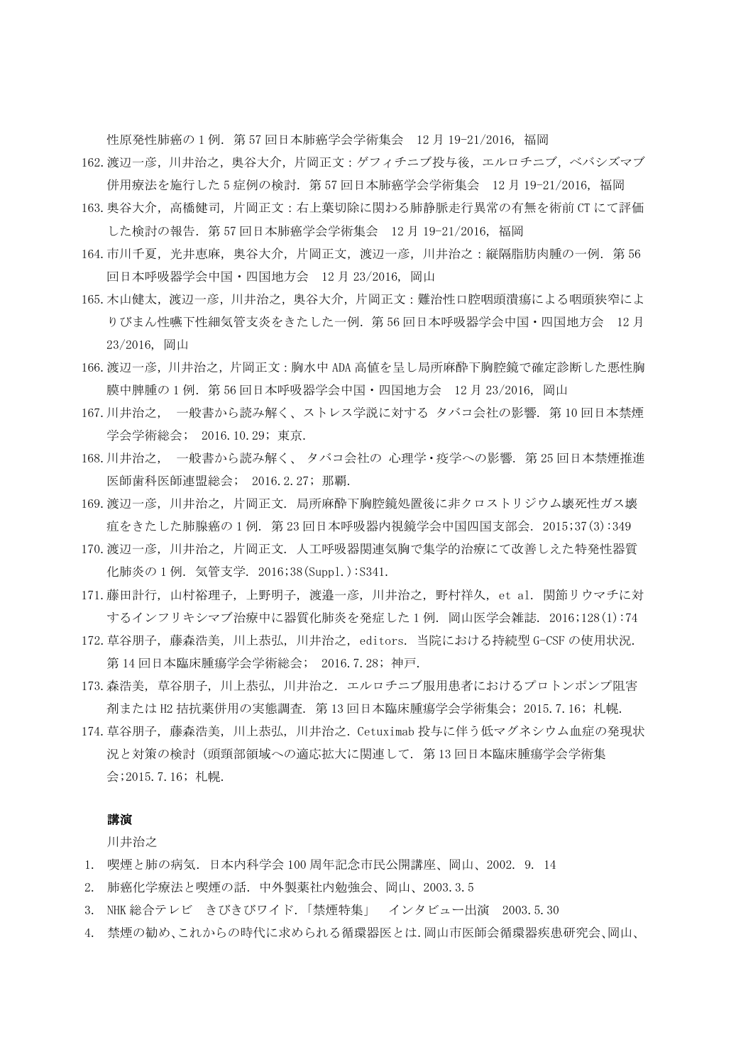性原発性肺癌の 1 例.第 57 回日本肺癌学会学術集会 12 月 19-21/2016, 福岡

- 162.渡辺一彦,川井治之,奥谷大介,片岡正文:ゲフィチニブ投与後,エルロチニブ,ベバシズマブ 併用療法を施行した 5 症例の検討.第 57 回日本肺癌学会学術集会 12 月 19-21/2016, 福岡
- 163.奥谷大介,高橋健司,片岡正文:右上葉切除に関わる肺静脈走行異常の有無を術前 CT にて評価 した検討の報告.第 57 回日本肺癌学会学術集会 12 月 19-21/2016, 福岡
- 164. 市川千夏, 光井恵麻, 奥谷大介, 片岡正文, 渡辺一彦, 川井治之:縦隔脂肪肉腫の一例. 第56 回日本呼吸器学会中国・四国地方会 12 月 23/2016, 岡山
- 165.木山健太,渡辺一彦,川井治之,奥谷大介,片岡正文:難治性口腔咽頭潰瘍による咽頭狭窄によ りびまん性嚥下性細気管支炎をきたした一例.第 56 回日本呼吸器学会中国・四国地方会 12 月 23/2016, 岡山
- 166.渡辺一彦,川井治之,片岡正文:胸水中 ADA 高値を呈し局所麻酔下胸腔鏡で確定診断した悪性胸 膜中脾腫の 1 例.第 56 回日本呼吸器学会中国・四国地方会 12 月 23/2016, 岡山
- 167.川井治之, 一般書から読み解く、ストレス学説に対する タバコ会社の影響. 第 10 回日本禁煙 学会学術総会; 2016.10.29; 東京.
- 168.川井治之, 一般書から読み解く、 タバコ会社の 心理学・疫学への影響. 第 25 回日本禁煙推進 医師歯科医師連盟総会; 2016.2.27; 那覇.
- 169.渡辺一彦, 川井治之, 片岡正文. 局所麻酔下胸腔鏡処置後に非クロストリジウム壊死性ガス壊 疽をきたした肺腺癌の 1 例. 第 23 回日本呼吸器内視鏡学会中国四国支部会. 2015;37(3):349
- 170.渡辺一彦, 川井治之, 片岡正文. 人工呼吸器関連気胸で集学的治療にて改善しえた特発性器質 化肺炎の 1 例. 気管支学. 2016;38(Suppl.):S341.
- 171.藤田計行, 山村裕理子, 上野明子, 渡邉一彦, 川井治之, 野村祥久, et al. 関節リウマチに対 するインフリキシマブ治療中に器質化肺炎を発症した 1 例. 岡山医学会雑誌. 2016;128(1):74
- 172.草谷朋子, 藤森浩美, 川上恭弘, 川井治之, editors. 当院における持続型 G-CSF の使用状況. 第 14 回日本臨床腫瘍学会学術総会; 2016.7.28; 神戸.
- 173.森浩美, 草谷朋子, 川上恭弘, 川井治之. エルロチニブ服用患者におけるプロトンポンプ阻害 剤または H2 拮抗薬併用の実態調査. 第 13 回日本臨床腫瘍学会学術集会; 2015.7.16; 札幌.
- 174.草谷朋子, 藤森浩美, 川上恭弘, 川井治之. Cetuximab 投与に伴う低マグネシウム血症の発現状 況と対策の検討(頭頸部領域への適応拡大に関連して. 第 13 回日本臨床腫瘍学会学術集 会;2015.7.16; 札幌.

## 講演

川井治之

- 1. 喫煙と肺の病気.日本内科学会 100 周年記念市民公開講座、岡山、2002. 9. 14
- 2. 肺癌化学療法と喫煙の話.中外製薬社内勉強会、岡山、2003.3.5
- 3. NHK 総合テレビ きびきびワイド.「禁煙特集」 インタビュー出演 2003.5.30
- 4. 禁煙の勧め、これからの時代に求められる循環器医とは.岡山市医師会循環器疾患研究会、岡山、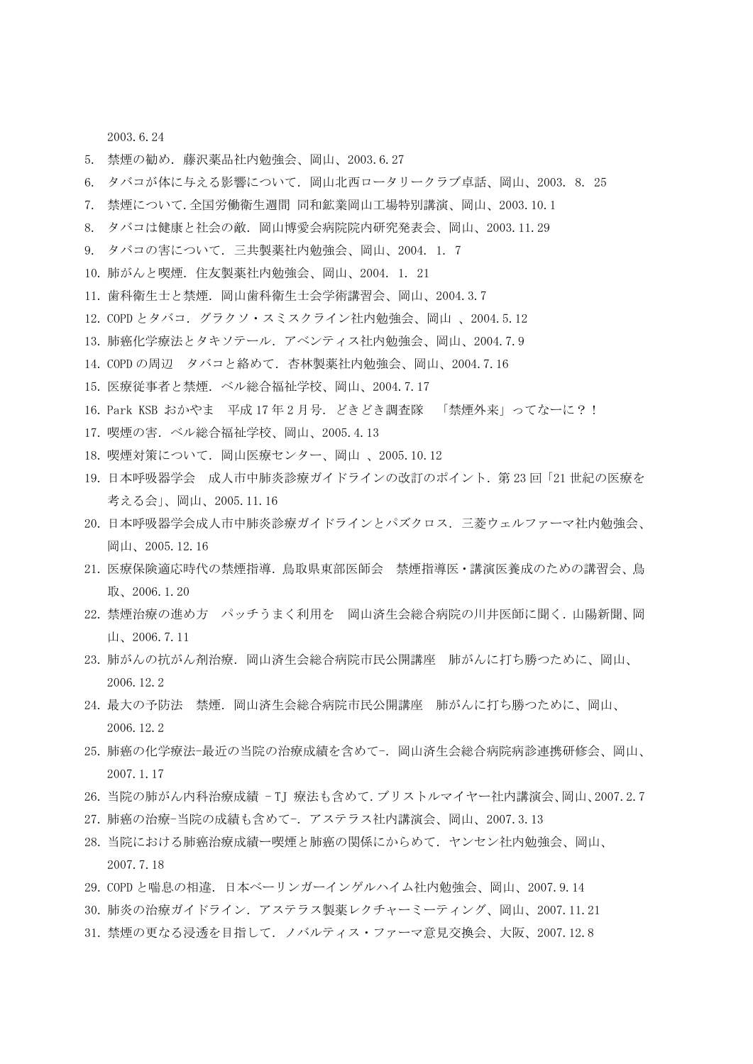2003.6.24

- 5. 禁煙の勧め.藤沢薬品社内勉強会、岡山、2003.6.27
- 6. タバコが体に与える影響について.岡山北西ロータリークラブ卓話、岡山、2003. 8. 25
- 7. 禁煙について.全国労働衛生週間 同和鉱業岡山工場特別講演、岡山、2003.10.1
- 8. タバコは健康と社会の敵.岡山博愛会病院院内研究発表会、岡山、2003.11.29
- 9. タバコの害について.三共製薬社内勉強会、岡山、2004. 1. 7
- 10. 肺がんと喫煙. 住友製薬社内勉強会、岡山、2004. 1. 21
- 11. 歯科衛生士と禁煙. 岡山歯科衛生士会学術講習会、岡山、2004.3.7
- 12. COPD とタバコ.グラクソ・スミスクライン社内勉強会、岡山 、2004.5.12
- 13. 肺癌化学療法とタキソテール.アベンティス社内勉強会、岡山、2004.7.9
- 14. COPD の周辺 タバコと絡めて.杏林製薬社内勉強会、岡山、2004.7.16
- 15. 医療従事者と禁煙.ベル総合福祉学校、岡山、2004.7.17
- 16. Park KSB おかやま 平成 17年2月号. どきどき調査隊 「禁煙外来」ってなーに?!
- 17. 喫煙の害.ベル総合福祉学校、岡山、2005.4.13
- 18. 喫煙対策について.岡山医療センター、岡山 、2005.10.12
- 19. 日本呼吸器学会 成人市中肺炎診療ガイドラインの改訂のポイント.第 23 回「21 世紀の医療を 考える会」、岡山、2005.11.16
- 20. 日本呼吸器学会成人市中肺炎診療ガイドラインとパズクロス.三菱ウェルファーマ社内勉強会、 岡山、2005.12.16
- 21. 医療保険適応時代の禁煙指導.鳥取県東部医師会 禁煙指導医・講演医養成のための講習会、鳥 取、2006.1.20
- 22. 禁煙治療の進め方 パッチうまく利用を 岡山済生会総合病院の川井医師に聞く. 山陽新聞、岡 山、2006.7.11
- 23. 肺がんの抗がん剤治療. 岡山済生会総合病院市民公開講座 肺がんに打ち勝つために、岡山、 2006.12.2
- 24. 最大の予防法 禁煙. 岡山済生会総合病院市民公開講座 肺がんに打ち勝つために、岡山、 2006.12.2
- 25. 肺癌の化学療法-最近の当院の治療成績を含めて-.岡山済生会総合病院病診連携研修会、岡山、 2007.1.17
- 26. 当院の肺がん内科治療成績 TJ 療法も含めて.ブリストルマイヤー社内講演会、岡山、2007.2.7
- 27. 肺癌の治療-当院の成績も含めて-.アステラス社内講演会、岡山、2007.3.13
- 28. 当院における肺癌治療成績ー喫煙と肺癌の関係にからめて.ヤンセン社内勉強会、岡山、 2007.7.18
- 29. COPD と喘息の相違.日本ベーリンガーインゲルハイム社内勉強会、岡山、2007.9.14
- 30. 肺炎の治療ガイドライン.アステラス製薬レクチャーミーティング、岡山、2007.11.21
- 31. 禁煙の更なる浸透を目指して.ノバルティス・ファーマ意見交換会、大阪、2007.12.8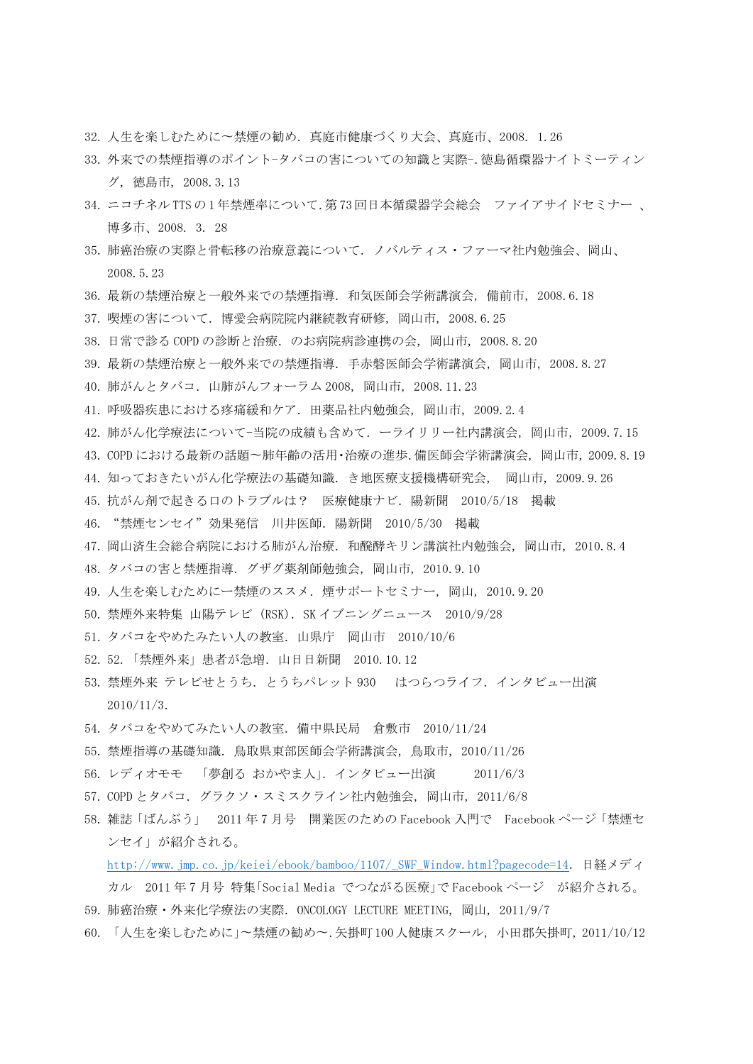- 32. 人生を楽しむために〜禁煙の勧め.真庭市健康づくり大会、真庭市、2008. 1.26
- 33. 外来での禁煙指導のポイント-タバコの害についての知識と実際-.徳島循環器ナイトミーティン グ, 徳島市, 2008.3.13
- 34. ニコチネル TTS の 1 年禁煙率について.第 73 回日本循環器学会総会 ファイアサイドセミナー 、 博多市、2008. 3. 28
- 35. 肺癌治療の実際と骨転移の治療意義について.ノバルティス・ファーマ社内勉強会、岡山、 2008.5.23
- 36. 最新の禁煙治療と一般外来での禁煙指導. 和気医師会学術講演会, 備前市, 2008.6.18
- 37. 喫煙の害について.博愛会病院院内継続教育研修, 岡山市, 2008.6.25
- 38. 日常で診る COPD の診断と治療. のお病院病診連携の会, 岡山市, 2008.8.20
- 39. 最新の禁煙治療と一般外来での禁煙指導. 手赤磐医師会学術講演会, 岡山市, 2008.8.27
- 40. 肺がんとタバコ.山肺がんフォーラム 2008, 岡山市, 2008.11.23
- 41. 呼吸器疾患における疼痛緩和ケア.田薬品社内勉強会, 岡山市, 2009.2.4
- 42. 肺がん化学療法について-当院の成績も含めて.ーライリリー社内講演会, 岡山市, 2009.7.15
- 43. COPD における最新の話題〜肺年齢の活用・治療の進歩.備医師会学術講演会, 岡山市, 2009.8.19
- 44. 知っておきたいがん化学療法の基礎知識.き地医療支援機構研究会, 岡山市, 2009.9.26
- 45. 抗がん剤で起きる口のトラブルは? 医療健康ナビ.陽新聞 2010/5/18 掲載
- 46. "禁煙センセイ"効果発信 川井医師.陽新聞 2010/5/30 掲載
- 47. 岡山済生会総合病院における肺がん治療. 和醗酵キリン講演社内勉強会, 岡山市, 2010.8.4
- 48. タバコの害と禁煙指導.グザグ薬剤師勉強会, 岡山市, 2010.9.10
- 49. 人生を楽しむためにー禁煙のススメ.煙サポートセミナー, 岡山, 2010.9.20
- 50. 禁煙外来特集 山陽テレビ (RSK). SK イブニングニュース 2010/9/28
- 51. タバコをやめたみたい人の教室.山県庁 岡山市 2010/10/6
- 52. 52.「禁煙外来」患者が急増.山日日新聞 2010.10.12
- 53. 禁煙外来 テレビせとうち. とうちパレット 930 はつらつライフ. インタビュー出演 2010/11/3.
- 54. タバコをやめてみたい人の教室.備中県民局 倉敷市 2010/11/24
- 55. 禁煙指導の基礎知識.鳥取県東部医師会学術講演会, 鳥取市, 2010/11/26
- 56. レディオモモ 「夢創る おかやま人」.インタビュー出演 2011/6/3
- 57. COPD とタバコ.グラクソ・スミスクライン社内勉強会, 岡山市, 2011/6/8
- 58. 雑誌「ばんぶう」 2011 年 7 月号 開業医のための Facebook 入門で Facebook ページ「禁煙セ ンセイ」が紹介される。

[http://www.jmp.co.jp/keiei/ebook/bamboo/1107/\\_SWF\\_Window.html?pagecode=14](http://www.jmp.co.jp/keiei/ebook/bamboo/1107/_SWF_Window.html?pagecode=14). 日経メディ

- カル 2011 年 7 月号 特集「Social Media でつながる医療」で Facebook ページ が紹介される。
- 59. 肺癌治療・外来化学療法の実際.ONCOLOGY LECTURE MEETING, 岡山, 2011/9/7
- 60. 「人生を楽しむために」〜禁煙の勧め〜.矢掛町100人健康スクール, 小田郡矢掛町, 2011/10/12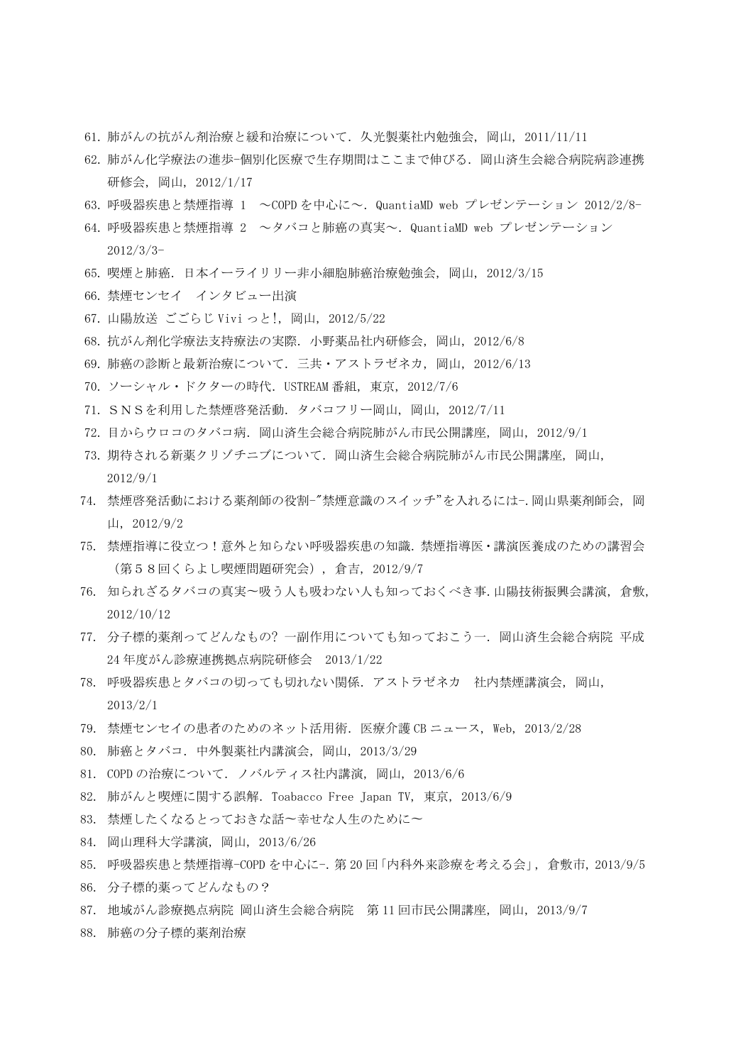- 61. 肺がんの抗がん剤治療と緩和治療について.久光製薬社内勉強会, 岡山, 2011/11/11
- 62. 肺がん化学療法の進歩-個別化医療で生存期間はここまで伸びる. 岡山済生会総合病院病診連携 研修会, 岡山, 2012/1/17
- 63. 呼吸器疾患と禁煙指導 1 ~COPD を中心に~.QuantiaMD web プレゼンテーション 2012/2/8-
- 64. 呼吸器疾患と禁煙指導 2 ~タバコと肺癌の真実~.QuantiaMD web プレゼンテーション 2012/3/3-
- 65. 喫煙と肺癌.日本イーライリリー非小細胞肺癌治療勉強会, 岡山, 2012/3/15
- 66. 禁煙センセイ インタビュー出演
- 67. 山陽放送 ごごらじ Vivi っと!, 岡山, 2012/5/22
- 68. 抗がん剤化学療法支持療法の実際.小野薬品社内研修会, 岡山, 2012/6/8
- 69. 肺癌の診断と最新治療について.三共・アストラゼネカ, 岡山, 2012/6/13
- 70. ソーシャル・ドクターの時代.USTREAM 番組, 東京, 2012/7/6
- 71. SNSを利用した禁煙啓発活動.タバコフリー岡山, 岡山, 2012/7/11
- 72. 目からウロコのタバコ病.岡山済生会総合病院肺がん市民公開講座, 岡山, 2012/9/1
- 73. 期待される新薬クリゾチニブについて.岡山済生会総合病院肺がん市民公開講座, 岡山, 2012/9/1
- 74. 禁煙啓発活動における薬剤師の役割-"禁煙意識のスイッチ"を入れるには-.岡山県薬剤師会, 岡 山, 2012/9/2
- 75. 禁煙指導に役立つ!意外と知らない呼吸器疾患の知識.禁煙指導医・講演医養成のための講習会 (第58回くらよし喫煙問題研究会), 倉吉, 2012/9/7
- 76. 知られざるタバコの真実〜吸う人も吸わない人も知っておくべき事.山陽技術振興会講演, 倉敷, 2012/10/12
- 77. 分子標的薬剤ってどんなもの? 一副作用についても知っておこう一.岡山済生会総合病院 平成 24 年度がん診療連携拠点病院研修会 2013/1/22
- 78. 呼吸器疾患とタバコの切っても切れない関係.アストラゼネカ 社内禁煙講演会, 岡山, 2013/2/1
- 79. 禁煙センセイの患者のためのネット活用術.医療介護 CB ニュース, Web, 2013/2/28
- 80. 肺癌とタバコ.中外製薬社内講演会, 岡山, 2013/3/29
- 81. COPD の治療について.ノバルティス社内講演, 岡山, 2013/6/6
- 82. 肺がんと喫煙に関する誤解.Toabacco Free Japan TV, 東京, 2013/6/9
- 83. 禁煙したくなるとっておきな話〜幸せな人生のために〜
- 84. 岡山理科大学講演, 岡山, 2013/6/26
- 85. 呼吸器疾患と禁煙指導-COPD を中心に-.第 20 回「内科外来診療を考える会」, 倉敷市, 2013/9/5
- 86. 分子標的薬ってどんなもの?
- 87. 地域がん診療拠点病院 岡山済生会総合病院 第 11 回市民公開講座, 岡山, 2013/9/7
- 88. 肺癌の分子標的薬剤治療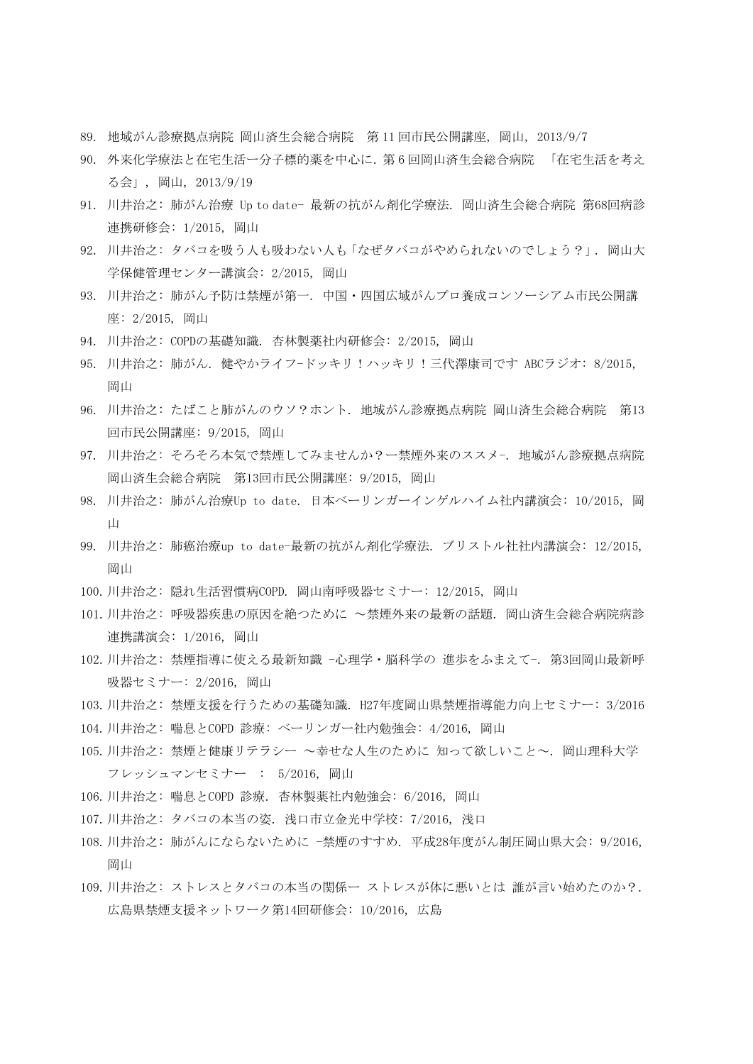- 89. 地域がん診療拠点病院 岡山済生会総合病院 第 11 回市民公開講座, 岡山, 2013/9/7
- 90. 外来化学療法と在宅生活ー分子標的薬を中心に.第 6 回岡山済生会総合病院 「在宅生活を考え る会」, 岡山, 2013/9/19
- 91. 川井治之: 肺がん治療 Up to date- 最新の抗がん剤化学療法. 岡山済生会総合病院 第68回病診 連携研修会: 1/2015, 岡山
- 92. 川井治之: タバコを吸う人も吸わない人も「なぜタバコがやめられないのでしょう?」. 岡山大 学保健管理センター講演会: 2/2015, 岡山
- 93. 川井治之: 肺がん予防は禁煙が第一. 中国・四国広域がんプロ養成コンソーシアム市民公開講 座: 2/2015, 岡山
- 94. 川井治之: COPDの基礎知識. 杏林製薬社内研修会: 2/2015, 岡山
- 95. 川井治之: 肺がん. 健やかライフ-ドッキリ!ハッキリ!三代澤康司です ABCラジオ: 8/2015, 岡山
- 96. 川井治之: たばこと肺がんのウソ?ホント. 地域がん診療拠点病院 岡山済生会総合病院 第13 回市民公開講座: 9/2015, 岡山
- 97. 川井治之: そろそろ本気で禁煙してみませんか?ー禁煙外来のススメ-. 地域がん診療拠点病院 岡山済生会総合病院 第13回市民公開講座: 9/2015, 岡山
- 98. 川井治之: 肺がん治療Up to date. 日本ベーリンガーインゲルハイム社内講演会: 10/2015, 岡 山
- 99. 川井治之: 肺癌治療up to date-最新の抗がん剤化学療法. ブリストル社社内講演会: 12/2015, 岡山
- 100.川井治之: 隠れ生活習慣病COPD. 岡山南呼吸器セミナー: 12/2015, 岡山
- 101.川井治之: 呼吸器疾患の原因を絶つために ~禁煙外来の最新の話題. 岡山済生会総合病院病診 連携講演会: 1/2016, 岡山
- 102.川井治之: 禁煙指導に使える最新知識 -心理学・脳科学の 進歩をふまえて-. 第3回岡山最新呼 吸器セミナー: 2/2016, 岡山
- 103.川井治之: 禁煙支援を行うための基礎知識. H27年度岡山県禁煙指導能力向上セミナー: 3/2016
- 104.川井治之: 喘息とCOPD 診療: ベーリンガー社内勉強会: 4/2016, 岡山
- 105.川井治之: 禁煙と健康リテラシー ~幸せな人生のために 知って欲しいこと~. 岡山理科大学 フレッシュマンセミナー : 5/2016, 岡山
- 106.川井治之: 喘息とCOPD 診療. 杏林製薬社内勉強会: 6/2016, 岡山
- 107.川井治之: タバコの本当の姿. 浅口市立金光中学校: 7/2016, 浅口
- 108.川井治之: 肺がんにならないために -禁煙のすすめ. 平成28年度がん制圧岡山県大会: 9/2016, 岡山
- 109.川井治之: ストレスとタバコの本当の関係ー ストレスが体に悪いとは 誰が言い始めたのか?. 広島県禁煙支援ネットワーク第14回研修会: 10/2016, 広島